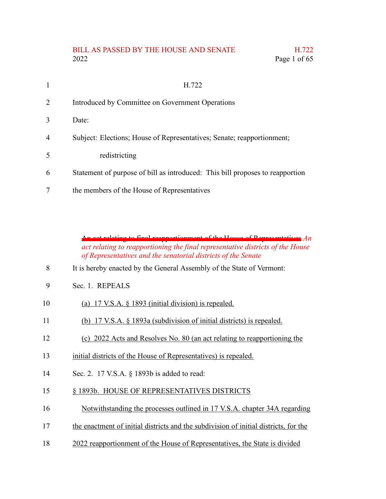#### BILL AS PASSED BY THE HOUSE AND SENATE H.722 2022 Page 1 of 65

|   | H.722                                                                         |
|---|-------------------------------------------------------------------------------|
| 2 | Introduced by Committee on Government Operations                              |
| 3 | Date:                                                                         |
| 4 | Subject: Elections; House of Representatives; Senate; reapportionment;        |
| 5 | redistricting                                                                 |
| 6 | Statement of purpose of bill as introduced: This bill proposes to reapportion |
|   | the members of the House of Representatives                                   |

An act relating to final reapportionment of the House of Representatives *An act relating to reapportioning the final representative districts of the House of Representatives and the senatorial districts of the Senate*

- It is hereby enacted by the General Assembly of the State of Vermont: 8
- Sec. 1. REPEALS 9

| 10 | (a) 17 V.S.A. $\S$ 1893 (initial division) is repealed. |  |  |  |
|----|---------------------------------------------------------|--|--|--|
|    |                                                         |  |  |  |

- (b) 17 V.S.A. § 1893a (subdivision of initial districts) is repealed. 11
- (c) 2022 Acts and Resolves No. 80 (an act relating to reapportioning the 12
- initial districts of the House of Representatives) is repealed. 13
- Sec. 2. 17 V.S.A. § 1893b is added to read: 14
- § 1893b. HOUSE OF REPRESENTATIVES DISTRICTS 15
- Notwithstanding the processes outlined in 17 V.S.A. chapter 34A regarding 16
- the enactment of initial districts and the subdivision of initial districts, for the 17
- 2022 reapportionment of the House of Representatives, the State is divided 18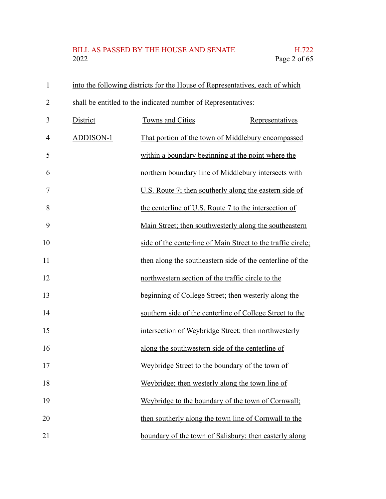#### BILL AS PASSED BY THE HOUSE AND SENATE H.722<br>2022 Page 2 of 65 Page 2 of 65

| $\mathbf{1}$   |                  | into the following districts for the House of Representatives, each of which |                 |
|----------------|------------------|------------------------------------------------------------------------------|-----------------|
| $\overline{2}$ |                  | shall be entitled to the indicated number of Representatives:                |                 |
| 3              | District         | Towns and Cities                                                             | Representatives |
| 4              | <b>ADDISON-1</b> | That portion of the town of Middlebury encompassed                           |                 |
| 5              |                  | within a boundary beginning at the point where the                           |                 |
| 6              |                  | northern boundary line of Middlebury intersects with                         |                 |
| 7              |                  | U.S. Route 7; then southerly along the eastern side of                       |                 |
| 8              |                  | the centerline of U.S. Route 7 to the intersection of                        |                 |
| 9              |                  | Main Street; then southwesterly along the southeastern                       |                 |
| 10             |                  | side of the centerline of Main Street to the traffic circle;                 |                 |
| 11             |                  | then along the southeastern side of the centerline of the                    |                 |
| 12             |                  | northwestern section of the traffic circle to the                            |                 |
| 13             |                  | beginning of College Street; then westerly along the                         |                 |
| 14             |                  | southern side of the centerline of College Street to the                     |                 |
| 15             |                  | intersection of Weybridge Street; then northwesterly                         |                 |
| 16             |                  | along the southwestern side of the centerline of                             |                 |
| 17             |                  | Weybridge Street to the boundary of the town of                              |                 |
| 18             |                  | Weybridge; then westerly along the town line of                              |                 |
| 19             |                  | Weybridge to the boundary of the town of Cornwall;                           |                 |
| 20             |                  | then southerly along the town line of Cornwall to the                        |                 |
| 21             |                  | boundary of the town of Salisbury; then easterly along                       |                 |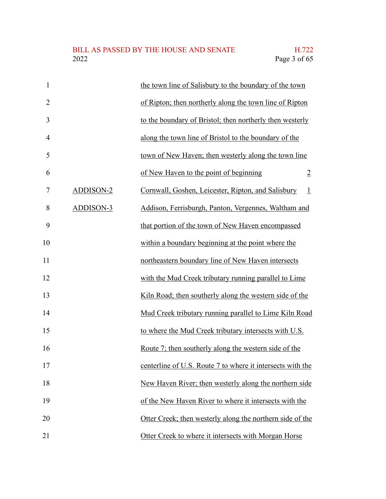### BILL AS PASSED BY THE HOUSE AND SENATE H.722<br>2022 Page 3 of 65

| $\mathbf{1}$   |           | the town line of Salisbury to the boundary of the town        |
|----------------|-----------|---------------------------------------------------------------|
| $\overline{2}$ |           | of Ripton; then northerly along the town line of Ripton       |
| 3              |           | to the boundary of Bristol; then northerly then westerly      |
| $\overline{4}$ |           | along the town line of Bristol to the boundary of the         |
| 5              |           | town of New Haven; then westerly along the town line          |
| 6              |           | of New Haven to the point of beginning<br>$\overline{2}$      |
| 7              | ADDISON-2 | Cornwall, Goshen, Leicester, Ripton, and Salisbury<br>$\perp$ |
| 8              | ADDISON-3 | Addison, Ferrisburgh, Panton, Vergennes, Waltham and          |
| 9              |           | that portion of the town of New Haven encompassed             |
| 10             |           | within a boundary beginning at the point where the            |
| 11             |           | northeastern boundary line of New Haven intersects            |
| 12             |           | with the Mud Creek tributary running parallel to Lime         |
| 13             |           | Kiln Road; then southerly along the western side of the       |
| 14             |           | Mud Creek tributary running parallel to Lime Kiln Road        |
| 15             |           | to where the Mud Creek tributary intersects with U.S.         |
| 16             |           | Route 7; then southerly along the western side of the         |
| 17             |           | centerline of U.S. Route 7 to where it intersects with the    |
| 18             |           | New Haven River; then westerly along the northern side        |
| 19             |           | of the New Haven River to where it intersects with the        |
| 20             |           | Otter Creek; then westerly along the northern side of the     |
| 21             |           | Otter Creek to where it intersects with Morgan Horse          |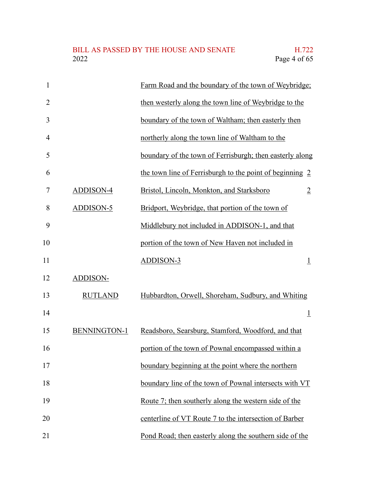| 1              |                | Farm Road and the boundary of the town of Weybridge;        |
|----------------|----------------|-------------------------------------------------------------|
| $\overline{2}$ |                | then westerly along the town line of Weybridge to the       |
| 3              |                | boundary of the town of Waltham; then easterly then         |
| 4              |                | northerly along the town line of Waltham to the             |
| 5              |                | boundary of the town of Ferrisburgh; then easterly along    |
| 6              |                | the town line of Ferrisburgh to the point of beginning 2    |
| 7              | ADDISON-4      | Bristol, Lincoln, Monkton, and Starksboro<br>$\overline{2}$ |
| 8              | ADDISON-5      | Bridport, Weybridge, that portion of the town of            |
| 9              |                | Middlebury not included in ADDISON-1, and that              |
| 10             |                | portion of the town of New Haven not included in            |
| 11             |                | <b>ADDISON-3</b><br>$\overline{1}$                          |
| 12             | ADDISON-       |                                                             |
| 13             | <b>RUTLAND</b> | Hubbardton, Orwell, Shoreham, Sudbury, and Whiting          |
| 14             |                | $\perp$                                                     |
| 15             | BENNINGTON-1   | Readsboro, Searsburg, Stamford, Woodford, and that          |
| 16             |                | portion of the town of Pownal encompassed within a          |
| 17             |                | boundary beginning at the point where the northern          |
| 18             |                | boundary line of the town of Pownal intersects with VT      |
| 19             |                | Route 7; then southerly along the western side of the       |
| 20             |                | centerline of VT Route 7 to the intersection of Barber      |
| 21             |                | Pond Road; then easterly along the southern side of the     |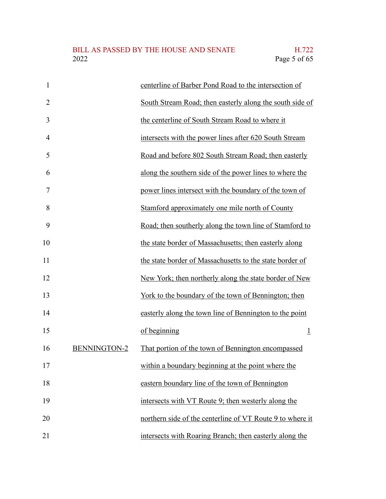| $\mathbf{1}$   |                     | centerline of Barber Pond Road to the intersection of     |
|----------------|---------------------|-----------------------------------------------------------|
| $\overline{2}$ |                     | South Stream Road; then easterly along the south side of  |
| 3              |                     | the centerline of South Stream Road to where it           |
| $\overline{4}$ |                     | intersects with the power lines after 620 South Stream    |
| 5              |                     | Road and before 802 South Stream Road; then easterly      |
| 6              |                     | along the southern side of the power lines to where the   |
| $\overline{7}$ |                     | power lines intersect with the boundary of the town of    |
| 8              |                     | Stamford approximately one mile north of County           |
| 9              |                     | Road; then southerly along the town line of Stamford to   |
| 10             |                     | the state border of Massachusetts; then easterly along    |
| 11             |                     | the state border of Massachusetts to the state border of  |
| 12             |                     | New York; then northerly along the state border of New    |
| 13             |                     | York to the boundary of the town of Bennington; then      |
| 14             |                     | easterly along the town line of Bennington to the point   |
| 15             |                     | of beginning<br>$\perp$                                   |
| 16             | <b>BENNINGTON-2</b> | That portion of the town of Bennington encompassed        |
| 17             |                     | within a boundary beginning at the point where the        |
| 18             |                     | eastern boundary line of the town of Bennington           |
| 19             |                     | intersects with VT Route 9; then westerly along the       |
| 20             |                     | northern side of the centerline of VT Route 9 to where it |
| 21             |                     | intersects with Roaring Branch; then easterly along the   |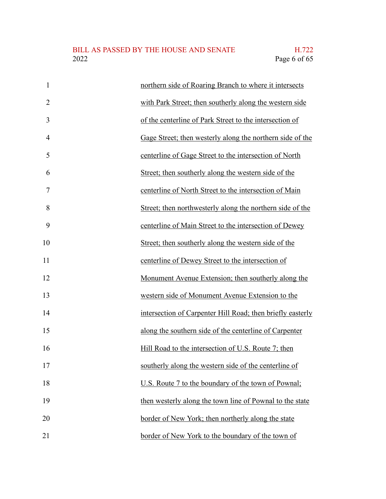| $\mathbf{1}$   | northern side of Roaring Branch to where it intersects     |
|----------------|------------------------------------------------------------|
| $\overline{2}$ | with Park Street; then southerly along the western side    |
| 3              | of the centerline of Park Street to the intersection of    |
| 4              | Gage Street; then westerly along the northern side of the  |
| 5              | centerline of Gage Street to the intersection of North     |
| 6              | Street; then southerly along the western side of the       |
| 7              | centerline of North Street to the intersection of Main     |
| 8              | Street; then northwesterly along the northern side of the  |
| 9              | centerline of Main Street to the intersection of Dewey     |
| 10             | Street; then southerly along the western side of the       |
| 11             | centerline of Dewey Street to the intersection of          |
| 12             | Monument Avenue Extension; then southerly along the        |
| 13             | western side of Monument Avenue Extension to the           |
| 14             | intersection of Carpenter Hill Road; then briefly easterly |
| 15             | along the southern side of the centerline of Carpenter     |
| 16             | Hill Road to the intersection of U.S. Route 7; then        |
| 17             | southerly along the western side of the centerline of      |
| 18             | U.S. Route 7 to the boundary of the town of Pownal;        |
| 19             | then westerly along the town line of Pownal to the state   |
| 20             | border of New York; then northerly along the state         |
| 21             | border of New York to the boundary of the town of          |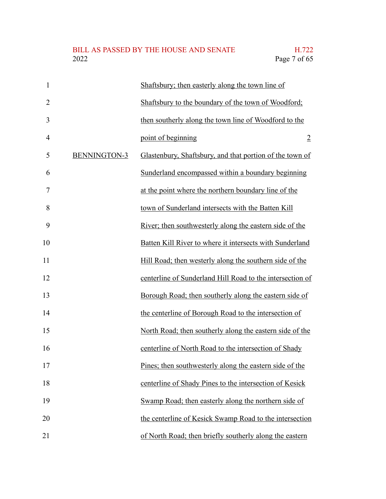| $\mathbf{1}$   |                     | Shaftsbury; then easterly along the town line of          |
|----------------|---------------------|-----------------------------------------------------------|
| $\overline{2}$ |                     | Shaftsbury to the boundary of the town of Woodford;       |
| 3              |                     | then southerly along the town line of Woodford to the     |
| $\overline{4}$ |                     | point of beginning<br>$\overline{2}$                      |
| 5              | <b>BENNINGTON-3</b> | Glastenbury, Shaftsbury, and that portion of the town of  |
| 6              |                     | Sunderland encompassed within a boundary beginning        |
| $\overline{7}$ |                     | at the point where the northern boundary line of the      |
| 8              |                     | town of Sunderland intersects with the Batten Kill        |
| 9              |                     | River; then southwesterly along the eastern side of the   |
| 10             |                     | Batten Kill River to where it intersects with Sunderland  |
| 11             |                     | Hill Road; then westerly along the southern side of the   |
| 12             |                     | centerline of Sunderland Hill Road to the intersection of |
| 13             |                     | Borough Road; then southerly along the eastern side of    |
| 14             |                     | the centerline of Borough Road to the intersection of     |
| 15             |                     | North Road; then southerly along the eastern side of the  |
| 16             |                     | centerline of North Road to the intersection of Shady     |
| 17             |                     | Pines; then southwesterly along the eastern side of the   |
| 18             |                     | centerline of Shady Pines to the intersection of Kesick   |
| 19             |                     | Swamp Road; then easterly along the northern side of      |
| 20             |                     | the centerline of Kesick Swamp Road to the intersection   |
| 21             |                     | of North Road; then briefly southerly along the eastern   |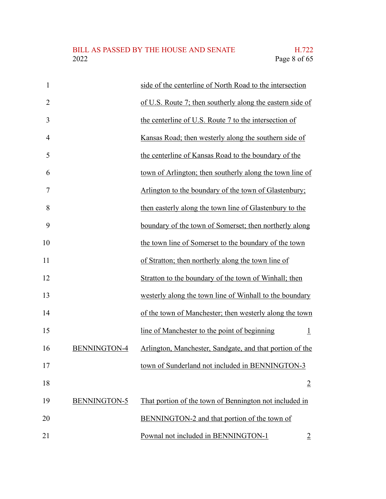### BILL AS PASSED BY THE HOUSE AND SENATE H.722<br>2022 Page 8 of 65

| $\mathbf{1}$              | side of the centerline of North Road to the intersection       |
|---------------------------|----------------------------------------------------------------|
| $\overline{2}$            | of U.S. Route 7; then southerly along the eastern side of      |
| 3                         | the centerline of U.S. Route 7 to the intersection of          |
| $\overline{4}$            | Kansas Road; then westerly along the southern side of          |
| 5                         | the centerline of Kansas Road to the boundary of the           |
| 6                         | town of Arlington; then southerly along the town line of       |
| 7                         | Arlington to the boundary of the town of Glastenbury;          |
| 8                         | then easterly along the town line of Glastenbury to the        |
| 9                         | boundary of the town of Somerset; then northerly along         |
| 10                        | the town line of Somerset to the boundary of the town          |
| 11                        | of Stratton; then northerly along the town line of             |
| 12                        | Stratton to the boundary of the town of Winhall; then          |
| 13                        | westerly along the town line of Winhall to the boundary        |
| 14                        | of the town of Manchester; then westerly along the town        |
| 15                        | line of Manchester to the point of beginning<br>$\overline{1}$ |
| <b>BENNINGTON-4</b><br>16 | Arlington, Manchester, Sandgate, and that portion of the       |
| 17                        | town of Sunderland not included in BENNINGTON-3                |
| 18                        | $\overline{2}$                                                 |
| 19<br>BENNINGTON-5        | That portion of the town of Bennington not included in         |
| 20                        | BENNINGTON-2 and that portion of the town of                   |
| 21                        | Pownal not included in BENNINGTON-1<br>$\overline{2}$          |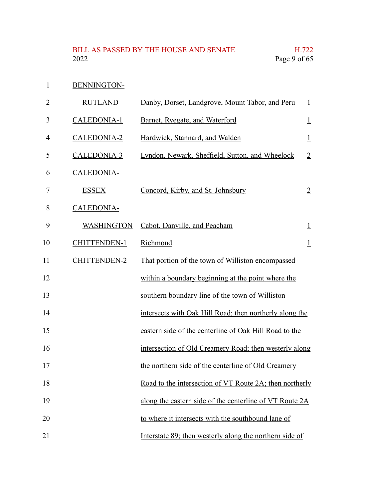BENNINGTON-1

| $\overline{2}$ | <b>RUTLAND</b>      | Danby, Dorset, Landgrove, Mount Tabor, and Peru         | $\perp$        |
|----------------|---------------------|---------------------------------------------------------|----------------|
| 3              | CALEDONIA-1         | Barnet, Ryegate, and Waterford                          | $\overline{1}$ |
| 4              | CALEDONIA-2         | Hardwick, Stannard, and Walden                          | $\perp$        |
| 5              | CALEDONIA-3         | Lyndon, Newark, Sheffield, Sutton, and Wheelock         | $\overline{2}$ |
| 6              | <b>CALEDONIA-</b>   |                                                         |                |
| 7              | <b>ESSEX</b>        | Concord, Kirby, and St. Johnsbury                       | $\overline{2}$ |
| 8              | CALEDONIA-          |                                                         |                |
| 9              | <b>WASHINGTON</b>   | Cabot, Danville, and Peacham                            | $\overline{1}$ |
| 10             | <b>CHITTENDEN-1</b> | Richmond                                                | $\perp$        |
| 11             | <b>CHITTENDEN-2</b> | That portion of the town of Williston encompassed       |                |
| 12             |                     | within a boundary beginning at the point where the      |                |
| 13             |                     | southern boundary line of the town of Williston         |                |
| 14             |                     | intersects with Oak Hill Road; then northerly along the |                |
| 15             |                     | eastern side of the centerline of Oak Hill Road to the  |                |
| 16             |                     | intersection of Old Creamery Road; then westerly along  |                |
| 17             |                     | the northern side of the centerline of Old Creamery     |                |
| 18             |                     | Road to the intersection of VT Route 2A; then northerly |                |
| 19             |                     | along the eastern side of the centerline of VT Route 2A |                |
| 20             |                     | to where it intersects with the southbound lane of      |                |
| 21             |                     | Interstate 89; then westerly along the northern side of |                |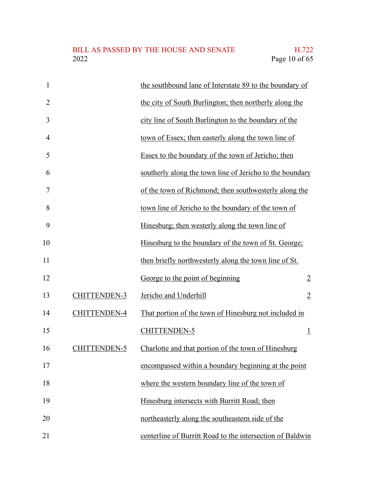| 1              |                     | the southbound lane of Interstate 89 to the boundary of   |                |
|----------------|---------------------|-----------------------------------------------------------|----------------|
| $\overline{2}$ |                     | the city of South Burlington; then northerly along the    |                |
| 3              |                     | city line of South Burlington to the boundary of the      |                |
| 4              |                     | town of Essex; then easterly along the town line of       |                |
| 5              |                     | Essex to the boundary of the town of Jericho; then        |                |
| 6              |                     | southerly along the town line of Jericho to the boundary  |                |
| 7              |                     | of the town of Richmond; then southwesterly along the     |                |
| 8              |                     | town line of Jericho to the boundary of the town of       |                |
| 9              |                     | Hinesburg; then westerly along the town line of           |                |
| 10             |                     | Hinesburg to the boundary of the town of St. George;      |                |
| 11             |                     | then briefly northwesterly along the town line of St.     |                |
| 12             |                     | George to the point of beginning                          | $\overline{2}$ |
| 13             | <b>CHITTENDEN-3</b> | Jericho and Underhill                                     | $\overline{2}$ |
| 14             | <b>CHITTENDEN-4</b> | That portion of the town of Hinesburg not included in     |                |
| 15             |                     | CHITTENDEN-5                                              | $\perp$        |
| 16             | <b>CHITTENDEN-5</b> | Charlotte and that portion of the town of Hinesburg       |                |
| 17             |                     | encompassed within a boundary beginning at the point      |                |
| 18             |                     | where the western boundary line of the town of            |                |
| 19             |                     | Hinesburg intersects with Burritt Road; then              |                |
| 20             |                     | northeasterly along the southeastern side of the          |                |
| 21             |                     | centerline of Burritt Road to the intersection of Baldwin |                |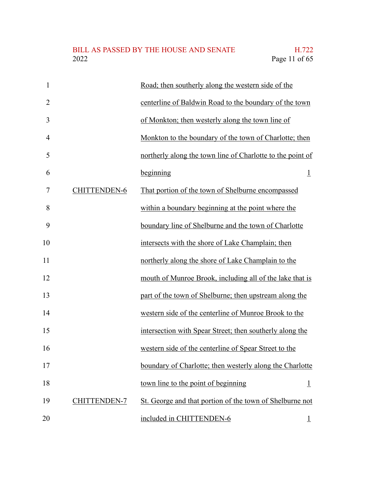### BILL AS PASSED BY THE HOUSE AND SENATE H.722<br>2022 Page 11 of 65

| $\mathbf{1}$   |                     | Road; then southerly along the western side of the         |
|----------------|---------------------|------------------------------------------------------------|
| $\overline{2}$ |                     | centerline of Baldwin Road to the boundary of the town     |
| 3              |                     | of Monkton; then westerly along the town line of           |
| $\overline{4}$ |                     | Monkton to the boundary of the town of Charlotte; then     |
| 5              |                     | northerly along the town line of Charlotte to the point of |
| 6              |                     | beginning<br>$\perp$                                       |
| 7              | <b>CHITTENDEN-6</b> | That portion of the town of Shelburne encompassed          |
| 8              |                     | within a boundary beginning at the point where the         |
| 9              |                     | boundary line of Shelburne and the town of Charlotte       |
| 10             |                     | intersects with the shore of Lake Champlain; then          |
| 11             |                     | northerly along the shore of Lake Champlain to the         |
| 12             |                     | mouth of Munroe Brook, including all of the lake that is   |
| 13             |                     | part of the town of Shelburne; then upstream along the     |
| 14             |                     | western side of the centerline of Munroe Brook to the      |
| 15             |                     | intersection with Spear Street; then southerly along the   |
| 16             |                     | western side of the centerline of Spear Street to the      |
| 17             |                     | boundary of Charlotte; then westerly along the Charlotte   |
| 18             |                     | town line to the point of beginning<br>$\perp$             |
| 19             | <b>CHITTENDEN-7</b> | St. George and that portion of the town of Shelburne not   |
| 20             |                     | included in CHITTENDEN-6<br>$\overline{1}$                 |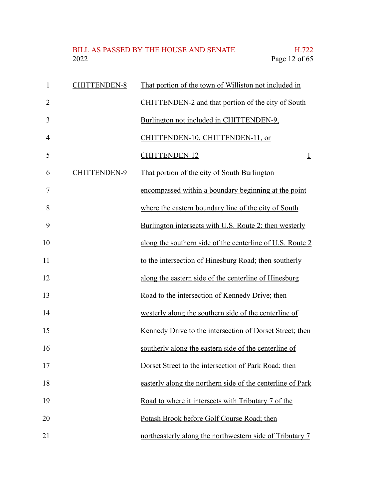#### BILL AS PASSED BY THE HOUSE AND SENATE H.722<br>2022 Page 12 of 65 Page 12 of 65

| $\mathbf{1}$   | <b>CHITTENDEN-8</b> | That portion of the town of Williston not included in      |
|----------------|---------------------|------------------------------------------------------------|
| $\overline{2}$ |                     | CHITTENDEN-2 and that portion of the city of South         |
| 3              |                     | Burlington not included in CHITTENDEN-9,                   |
| $\overline{4}$ |                     | CHITTENDEN-10, CHITTENDEN-11, or                           |
| 5              |                     | <b>CHITTENDEN-12</b><br>$\overline{1}$                     |
| 6              | <b>CHITTENDEN-9</b> | That portion of the city of South Burlington               |
| 7              |                     | encompassed within a boundary beginning at the point       |
| 8              |                     | where the eastern boundary line of the city of South       |
| 9              |                     | Burlington intersects with U.S. Route 2; then westerly     |
| 10             |                     | along the southern side of the centerline of U.S. Route 2  |
| 11             |                     | to the intersection of Hinesburg Road; then southerly      |
| 12             |                     | along the eastern side of the centerline of Hinesburg      |
| 13             |                     | Road to the intersection of Kennedy Drive; then            |
| 14             |                     | westerly along the southern side of the centerline of      |
| 15             |                     | Kennedy Drive to the intersection of Dorset Street; then   |
| 16             |                     | southerly along the eastern side of the centerline of      |
| 17             |                     | Dorset Street to the intersection of Park Road; then       |
| 18             |                     | easterly along the northern side of the centerline of Park |
| 19             |                     | Road to where it intersects with Tributary 7 of the        |
| 20             |                     | Potash Brook before Golf Course Road; then                 |
| 21             |                     | northeasterly along the northwestern side of Tributary 7   |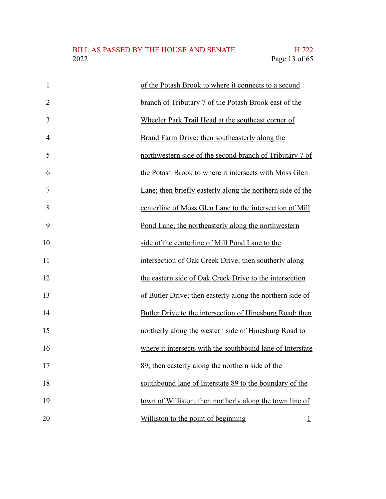| $\mathbf{1}$   | of the Potash Brook to where it connects to a second       |
|----------------|------------------------------------------------------------|
| $\overline{2}$ | branch of Tributary 7 of the Potash Brook east of the      |
| 3              | Wheeler Park Trail Head at the southeast corner of         |
| $\overline{4}$ | Brand Farm Drive; then southeasterly along the             |
| 5              | northwestern side of the second branch of Tributary 7 of   |
| 6              | the Potash Brook to where it intersects with Moss Glen     |
| 7              | Lane; then briefly easterly along the northern side of the |
| 8              | centerline of Moss Glen Lane to the intersection of Mill   |
| 9              | Pond Lane; the northeasterly along the northwestern        |
| 10             | side of the centerline of Mill Pond Lane to the            |
| 11             | intersection of Oak Creek Drive; then southerly along      |
| 12             | the eastern side of Oak Creek Drive to the intersection    |
| 13             | of Butler Drive; then easterly along the northern side of  |
| 14             | Butler Drive to the intersection of Hinesburg Road; then   |
| 15             | northerly along the western side of Hinesburg Road to      |
| 16             | where it intersects with the southbound lane of Interstate |
| 17             | 89; then easterly along the northern side of the           |
| 18             | southbound lane of Interstate 89 to the boundary of the    |
| 19             | town of Williston; then northerly along the town line of   |
| 20             | Williston to the point of beginning<br>$\overline{1}$      |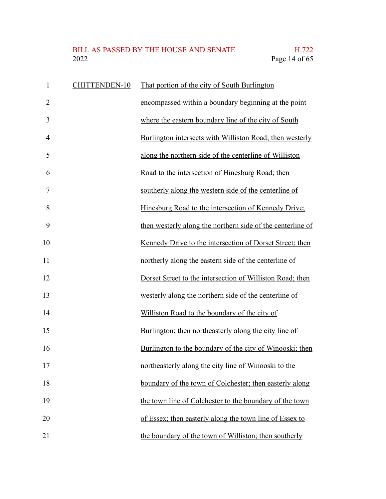# BILL AS PASSED BY THE HOUSE AND SENATE H.722<br>2022 Page 14 of 65

| $\mathbf{1}$   | <b>CHITTENDEN-10</b> | That portion of the city of South Burlington               |
|----------------|----------------------|------------------------------------------------------------|
| $\overline{2}$ |                      | encompassed within a boundary beginning at the point       |
| 3              |                      | where the eastern boundary line of the city of South       |
| $\overline{4}$ |                      | Burlington intersects with Williston Road; then westerly   |
| 5              |                      | along the northern side of the centerline of Williston     |
| 6              |                      | Road to the intersection of Hinesburg Road; then           |
| 7              |                      | southerly along the western side of the centerline of      |
| 8              |                      | Hinesburg Road to the intersection of Kennedy Drive;       |
| 9              |                      | then westerly along the northern side of the centerline of |
| 10             |                      | Kennedy Drive to the intersection of Dorset Street; then   |
| 11             |                      | northerly along the eastern side of the centerline of      |
| 12             |                      | Dorset Street to the intersection of Williston Road; then  |
| 13             |                      | westerly along the northern side of the centerline of      |
| 14             |                      | Williston Road to the boundary of the city of              |
| 15             |                      | Burlington; then northeasterly along the city line of      |
| 16             |                      | Burlington to the boundary of the city of Winooski; then   |
| 17             |                      | northeasterly along the city line of Winooski to the       |
| 18             |                      | boundary of the town of Colchester; then easterly along    |
| 19             |                      | the town line of Colchester to the boundary of the town    |
| 20             |                      | of Essex; then easterly along the town line of Essex to    |
| 21             |                      | the boundary of the town of Williston; then southerly      |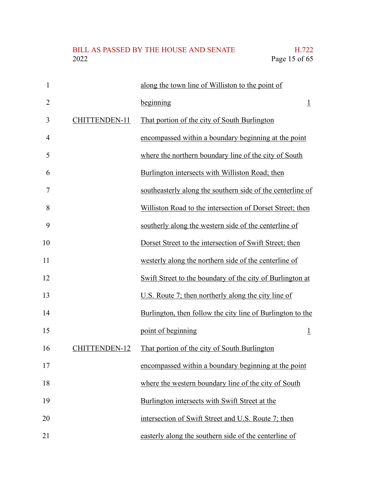| $\mathbf{1}$   |               | along the town line of Williston to the point of           |
|----------------|---------------|------------------------------------------------------------|
| $\overline{2}$ |               | beginning<br>$\overline{1}$                                |
| 3              | CHITTENDEN-11 | That portion of the city of South Burlington               |
| $\overline{4}$ |               | encompassed within a boundary beginning at the point       |
| 5              |               | where the northern boundary line of the city of South      |
| 6              |               | Burlington intersects with Williston Road; then            |
| 7              |               | southeasterly along the southern side of the centerline of |
| 8              |               | Williston Road to the intersection of Dorset Street; then  |
| 9              |               | southerly along the western side of the centerline of      |
| 10             |               | Dorset Street to the intersection of Swift Street; then    |
| 11             |               | westerly along the northern side of the centerline of      |
| 12             |               | Swift Street to the boundary of the city of Burlington at  |
| 13             |               | U.S. Route 7; then northerly along the city line of        |
| 14             |               | Burlington, then follow the city line of Burlington to the |
| 15             |               | point of beginning<br>$\overline{1}$                       |
| 16             | CHITTENDEN-12 | That portion of the city of South Burlington               |
| 17             |               | encompassed within a boundary beginning at the point       |
| 18             |               | where the western boundary line of the city of South       |
| 19             |               | Burlington intersects with Swift Street at the             |
| 20             |               | intersection of Swift Street and U.S. Route 7; then        |
| 21             |               | easterly along the southern side of the centerline of      |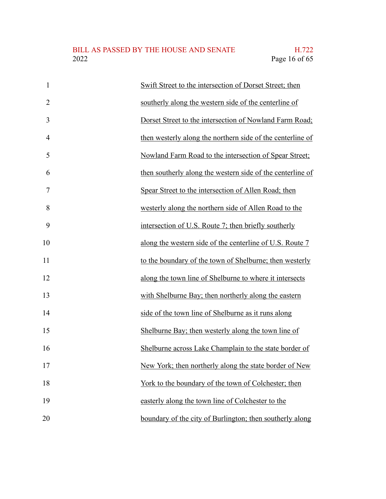| $\mathbf{1}$   | Swift Street to the intersection of Dorset Street; then    |
|----------------|------------------------------------------------------------|
| $\overline{2}$ | southerly along the western side of the centerline of      |
| 3              | Dorset Street to the intersection of Nowland Farm Road;    |
| $\overline{4}$ | then westerly along the northern side of the centerline of |
| 5              | Nowland Farm Road to the intersection of Spear Street;     |
| 6              | then southerly along the western side of the centerline of |
| 7              | Spear Street to the intersection of Allen Road; then       |
| 8              | westerly along the northern side of Allen Road to the      |
| 9              | intersection of U.S. Route 7; then briefly southerly       |
| 10             | along the western side of the centerline of U.S. Route 7   |
| 11             | to the boundary of the town of Shelburne; then westerly    |
| 12             | along the town line of Shelburne to where it intersects    |
| 13             | with Shelburne Bay; then northerly along the eastern       |
| 14             | side of the town line of Shelburne as it runs along        |
| 15             | Shelburne Bay; then westerly along the town line of        |
| 16             | Shelburne across Lake Champlain to the state border of     |
| 17             | New York; then northerly along the state border of New     |
| 18             | York to the boundary of the town of Colchester; then       |
| 19             | easterly along the town line of Colchester to the          |
| 20             | boundary of the city of Burlington; then southerly along   |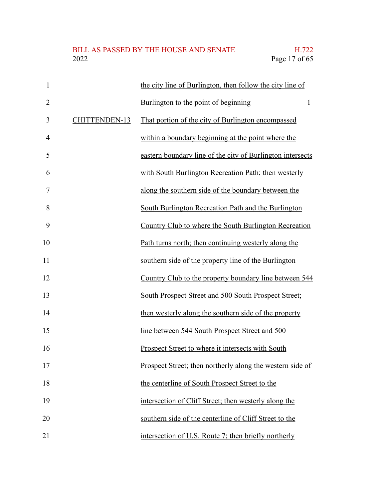| $\mathbf{1}$   |               | the city line of Burlington, then follow the city line of  |
|----------------|---------------|------------------------------------------------------------|
| $\overline{2}$ |               | Burlington to the point of beginning<br>$\perp$            |
| 3              | CHITTENDEN-13 | That portion of the city of Burlington encompassed         |
| $\overline{4}$ |               | within a boundary beginning at the point where the         |
| 5              |               | eastern boundary line of the city of Burlington intersects |
| 6              |               | with South Burlington Recreation Path; then westerly       |
| 7              |               | along the southern side of the boundary between the        |
| 8              |               | South Burlington Recreation Path and the Burlington        |
| 9              |               | Country Club to where the South Burlington Recreation      |
| 10             |               | Path turns north; then continuing westerly along the       |
| 11             |               | southern side of the property line of the Burlington       |
| 12             |               | Country Club to the property boundary line between 544     |
| 13             |               | South Prospect Street and 500 South Prospect Street;       |
| 14             |               | then westerly along the southern side of the property      |
| 15             |               | line between 544 South Prospect Street and 500             |
| 16             |               | Prospect Street to where it intersects with South          |
| 17             |               | Prospect Street; then northerly along the western side of  |
| 18             |               | the centerline of South Prospect Street to the             |
| 19             |               | intersection of Cliff Street; then westerly along the      |
| 20             |               | southern side of the centerline of Cliff Street to the     |
| 21             |               | intersection of U.S. Route 7; then briefly northerly       |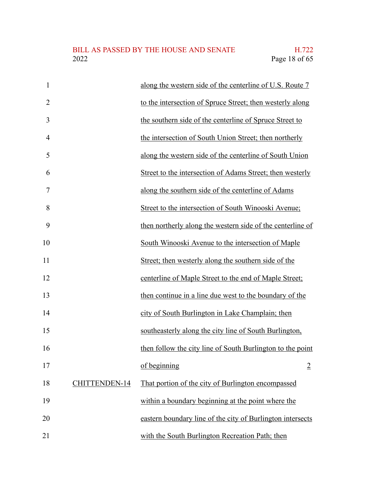| $\mathbf{1}$   |               | along the western side of the centerline of U.S. Route 7   |
|----------------|---------------|------------------------------------------------------------|
| $\overline{2}$ |               | to the intersection of Spruce Street; then westerly along  |
| 3              |               | the southern side of the centerline of Spruce Street to    |
| $\overline{4}$ |               | the intersection of South Union Street; then northerly     |
| 5              |               | along the western side of the centerline of South Union    |
| 6              |               | Street to the intersection of Adams Street; then westerly  |
| 7              |               | along the southern side of the centerline of Adams         |
| 8              |               | Street to the intersection of South Winooski Avenue;       |
| 9              |               | then northerly along the western side of the centerline of |
| 10             |               | South Winooski Avenue to the intersection of Maple         |
| 11             |               | Street; then westerly along the southern side of the       |
| 12             |               | centerline of Maple Street to the end of Maple Street;     |
| 13             |               | then continue in a line due west to the boundary of the    |
| 14             |               | city of South Burlington in Lake Champlain; then           |
| 15             |               | southeasterly along the city line of South Burlington,     |
| 16             |               | then follow the city line of South Burlington to the point |
| 17             |               | of beginning<br>$\overline{2}$                             |
| 18             | CHITTENDEN-14 | That portion of the city of Burlington encompassed         |
| 19             |               | within a boundary beginning at the point where the         |
| 20             |               | eastern boundary line of the city of Burlington intersects |
| 21             |               | with the South Burlington Recreation Path; then            |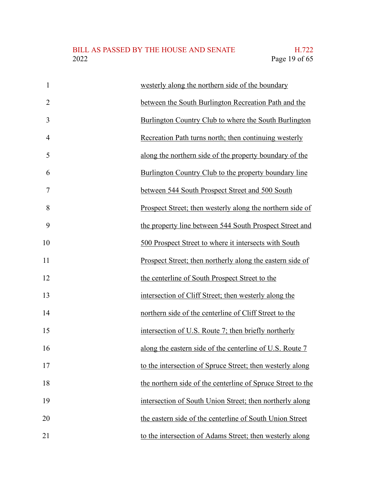| $\mathbf{1}$   | westerly along the northern side of the boundary            |
|----------------|-------------------------------------------------------------|
| $\overline{2}$ | between the South Burlington Recreation Path and the        |
| 3              | Burlington Country Club to where the South Burlington       |
| $\overline{4}$ | Recreation Path turns north; then continuing westerly       |
| 5              | along the northern side of the property boundary of the     |
| 6              | Burlington Country Club to the property boundary line       |
| 7              | between 544 South Prospect Street and 500 South             |
| 8              | Prospect Street; then westerly along the northern side of   |
| 9              | the property line between 544 South Prospect Street and     |
| 10             | 500 Prospect Street to where it intersects with South       |
| 11             | Prospect Street; then northerly along the eastern side of   |
| 12             | the centerline of South Prospect Street to the              |
| 13             | intersection of Cliff Street; then westerly along the       |
| 14             | northern side of the centerline of Cliff Street to the      |
| 15             | intersection of U.S. Route 7; then briefly northerly        |
| 16             | along the eastern side of the centerline of U.S. Route 7    |
| 17             | to the intersection of Spruce Street; then westerly along   |
| 18             | the northern side of the centerline of Spruce Street to the |
| 19             | intersection of South Union Street; then northerly along    |
| 20             | the eastern side of the centerline of South Union Street    |
| 21             | to the intersection of Adams Street; then westerly along    |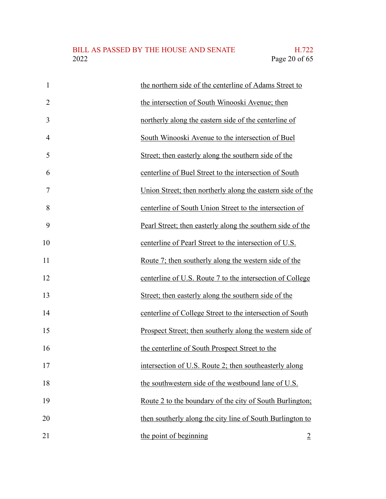| $\mathbf{1}$   | the northern side of the centerline of Adams Street to          |
|----------------|-----------------------------------------------------------------|
| $\overline{2}$ | the intersection of South Winooski Avenue; then                 |
| 3              | northerly along the eastern side of the centerline of           |
| $\overline{4}$ | South Winooski Avenue to the intersection of Buel               |
| 5              | Street; then easterly along the southern side of the            |
| 6              | centerline of Buel Street to the intersection of South          |
| 7              | Union Street; then northerly along the eastern side of the      |
| 8              | centerline of South Union Street to the intersection of         |
| 9              | Pearl Street; then easterly along the southern side of the      |
| 10             | centerline of Pearl Street to the intersection of U.S.          |
| 11             | Route 7; then southerly along the western side of the           |
| 12             | centerline of U.S. Route 7 to the intersection of College       |
| 13             | Street; then easterly along the southern side of the            |
| 14             | centerline of College Street to the intersection of South       |
| 15             | Prospect Street; then southerly along the western side of       |
| 16             | the centerline of South Prospect Street to the                  |
| 17             | intersection of U.S. Route 2; then southeasterly along          |
| 18             | the southwestern side of the westbound lane of U.S.             |
| 19             | <u>Route 2 to the boundary of the city of South Burlington;</u> |
| 20             | then southerly along the city line of South Burlington to       |
| 21             | the point of beginning<br>$\overline{2}$                        |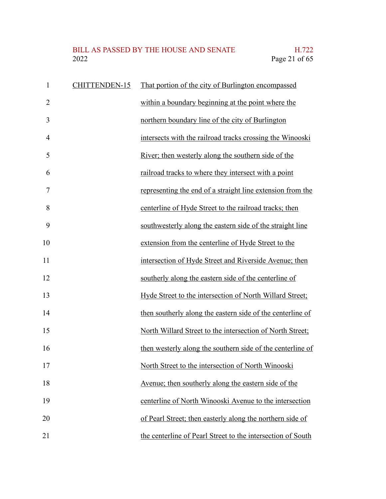# BILL AS PASSED BY THE HOUSE AND SENATE H.722<br>2022 Page 21 of 65

| $\mathbf{1}$   | CHITTENDEN-15 | That portion of the city of Burlington encompassed          |
|----------------|---------------|-------------------------------------------------------------|
| $\overline{2}$ |               | within a boundary beginning at the point where the          |
| 3              |               | northern boundary line of the city of Burlington            |
| $\overline{4}$ |               | intersects with the railroad tracks crossing the Winooski   |
| 5              |               | River; then westerly along the southern side of the         |
| 6              |               | railroad tracks to where they intersect with a point        |
| 7              |               | representing the end of a straight line extension from the  |
| 8              |               | centerline of Hyde Street to the railroad tracks; then      |
| 9              |               | southwesterly along the eastern side of the straight line   |
| 10             |               | extension from the centerline of Hyde Street to the         |
| 11             |               | intersection of Hyde Street and Riverside Avenue; then      |
| 12             |               | southerly along the eastern side of the centerline of       |
| 13             |               | Hyde Street to the intersection of North Willard Street;    |
| 14             |               | then southerly along the eastern side of the centerline of  |
| 15             |               | North Willard Street to the intersection of North Street;   |
| 16             |               | then westerly along the southern side of the centerline of  |
| 17             |               | North Street to the intersection of North Winooski          |
| 18             |               | Avenue; then southerly along the eastern side of the        |
| 19             |               | centerline of North Winooski Avenue to the intersection     |
| 20             |               | of Pearl Street; then easterly along the northern side of   |
| 21             |               | the centerline of Pearl Street to the intersection of South |

the centerline of Pearl Street to the intersection of South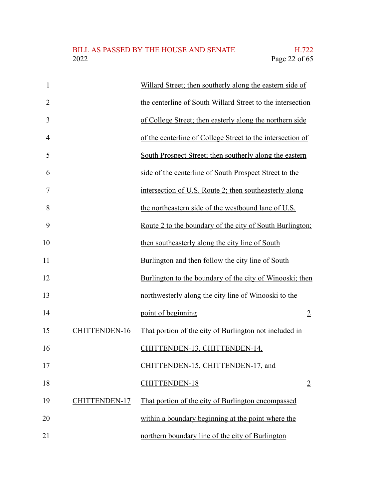| $\mathbf{1}$   |               | Willard Street; then southerly along the eastern side of   |
|----------------|---------------|------------------------------------------------------------|
| $\overline{2}$ |               | the centerline of South Willard Street to the intersection |
| 3              |               | of College Street; then easterly along the northern side   |
| $\overline{4}$ |               | of the centerline of College Street to the intersection of |
| 5              |               | South Prospect Street; then southerly along the eastern    |
| 6              |               | side of the centerline of South Prospect Street to the     |
| 7              |               | intersection of U.S. Route 2; then southeasterly along     |
| 8              |               | the northeastern side of the westbound lane of U.S.        |
| 9              |               | Route 2 to the boundary of the city of South Burlington;   |
| 10             |               | then southeasterly along the city line of South            |
| 11             |               | Burlington and then follow the city line of South          |
| 12             |               | Burlington to the boundary of the city of Winooski; then   |
| 13             |               | northwesterly along the city line of Winooski to the       |
| 14             |               | point of beginning<br>$\overline{2}$                       |
| 15             | CHITTENDEN-16 | That portion of the city of Burlington not included in     |
| 16             |               | CHITTENDEN-13, CHITTENDEN-14,                              |
| 17             |               | CHITTENDEN-15, CHITTENDEN-17, and                          |
| 18             |               | CHITTENDEN-18<br>$\overline{2}$                            |
| 19             | CHITTENDEN-17 | That portion of the city of Burlington encompassed         |
| 20             |               | within a boundary beginning at the point where the         |
| 21             |               | northern boundary line of the city of Burlington           |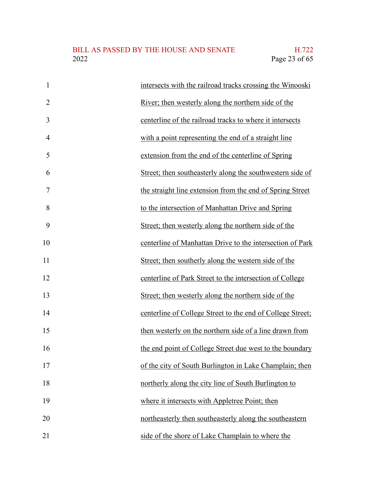| $\mathbf{1}$   | intersects with the railroad tracks crossing the Winooski  |
|----------------|------------------------------------------------------------|
| $\overline{2}$ | River; then westerly along the northern side of the        |
| 3              | centerline of the railroad tracks to where it intersects   |
| 4              | with a point representing the end of a straight line       |
| 5              | extension from the end of the centerline of Spring         |
| 6              | Street; then southeasterly along the southwestern side of  |
| 7              | the straight line extension from the end of Spring Street  |
| 8              | to the intersection of Manhattan Drive and Spring          |
| 9              | Street; then westerly along the northern side of the       |
| 10             | centerline of Manhattan Drive to the intersection of Park  |
| 11             | Street; then southerly along the western side of the       |
| 12             | centerline of Park Street to the intersection of College   |
| 13             | Street; then westerly along the northern side of the       |
| 14             | centerline of College Street to the end of College Street; |
| 15             | then westerly on the northern side of a line drawn from    |
| 16             | the end point of College Street due west to the boundary   |
| 17             | of the city of South Burlington in Lake Champlain; then    |
| 18             | northerly along the city line of South Burlington to       |
| 19             | where it intersects with Appletree Point; then             |
| 20             | northeasterly then southeasterly along the southeastern    |
| 21             | side of the shore of Lake Champlain to where the           |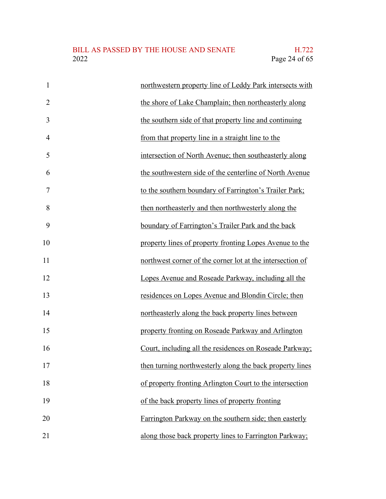| $\mathbf{1}$   | northwestern property line of Leddy Park intersects with  |
|----------------|-----------------------------------------------------------|
| $\overline{2}$ | the shore of Lake Champlain; then northeasterly along     |
| 3              | the southern side of that property line and continuing    |
| $\overline{4}$ | from that property line in a straight line to the         |
| 5              | intersection of North Avenue; then southeasterly along    |
| 6              | the southwestern side of the centerline of North Avenue   |
| $\overline{7}$ | to the southern boundary of Farrington's Trailer Park;    |
| 8              | then northeasterly and then northwesterly along the       |
| 9              | boundary of Farrington's Trailer Park and the back        |
| 10             | property lines of property fronting Lopes Avenue to the   |
| 11             | northwest corner of the corner lot at the intersection of |
| 12             | Lopes Avenue and Roseade Parkway, including all the       |
| 13             | residences on Lopes Avenue and Blondin Circle; then       |
| 14             | northeasterly along the back property lines between       |
| 15             | property fronting on Roseade Parkway and Arlington        |
| 16             | Court, including all the residences on Roseade Parkway;   |
| 17             | then turning northwesterly along the back property lines  |
| 18             | of property fronting Arlington Court to the intersection  |
| 19             | of the back property lines of property fronting           |
| 20             | Farrington Parkway on the southern side; then easterly    |
| 21             | along those back property lines to Farrington Parkway;    |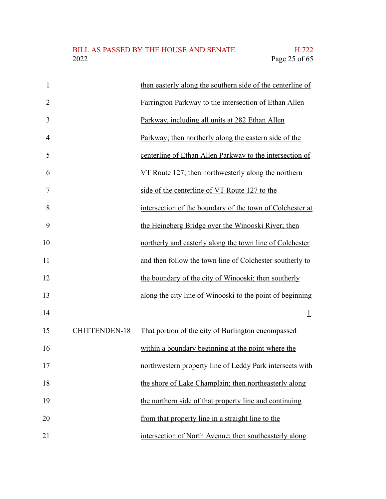| $\mathbf{1}$   |               | then easterly along the southern side of the centerline of |
|----------------|---------------|------------------------------------------------------------|
| $\overline{2}$ |               | Farrington Parkway to the intersection of Ethan Allen      |
| 3              |               | Parkway, including all units at 282 Ethan Allen            |
| 4              |               | Parkway; then northerly along the eastern side of the      |
| 5              |               | centerline of Ethan Allen Parkway to the intersection of   |
| 6              |               | VT Route 127; then northwesterly along the northern        |
| 7              |               | side of the centerline of VT Route 127 to the              |
| 8              |               | intersection of the boundary of the town of Colchester at  |
| 9              |               | the Heineberg Bridge over the Winooski River; then         |
| 10             |               | northerly and easterly along the town line of Colchester   |
| 11             |               | and then follow the town line of Colchester southerly to   |
| 12             |               | the boundary of the city of Winooski; then southerly       |
| 13             |               | along the city line of Winooski to the point of beginning  |
| 14             |               | $\perp$                                                    |
| 15             | CHITTENDEN-18 | That portion of the city of Burlington encompassed         |
| 16             |               | within a boundary beginning at the point where the         |
| 17             |               | northwestern property line of Leddy Park intersects with   |
| 18             |               | the shore of Lake Champlain; then northeasterly along      |
| 19             |               | the northern side of that property line and continuing     |
| 20             |               | from that property line in a straight line to the          |
| 21             |               | intersection of North Avenue; then southeasterly along     |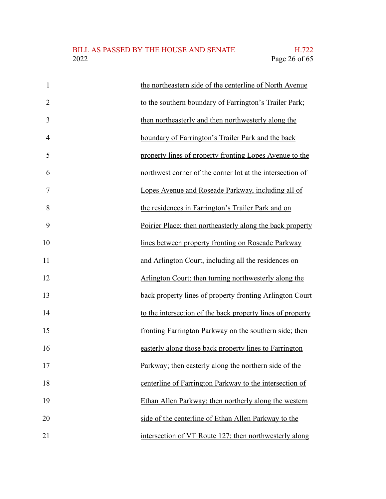| $\mathbf{1}$   | the northeastern side of the centerline of North Avenue    |
|----------------|------------------------------------------------------------|
| $\overline{2}$ | to the southern boundary of Farrington's Trailer Park;     |
| 3              | then northeasterly and then northwesterly along the        |
| $\overline{4}$ | boundary of Farrington's Trailer Park and the back         |
| 5              | property lines of property fronting Lopes Avenue to the    |
| 6              | northwest corner of the corner lot at the intersection of  |
| 7              | Lopes Avenue and Roseade Parkway, including all of         |
| 8              | the residences in Farrington's Trailer Park and on         |
| 9              | Poirier Place; then northeasterly along the back property  |
| 10             | lines between property fronting on Roseade Parkway         |
| 11             | and Arlington Court, including all the residences on       |
| 12             | Arlington Court; then turning northwesterly along the      |
| 13             | back property lines of property fronting Arlington Court   |
| 14             | to the intersection of the back property lines of property |
| 15             | fronting Farrington Parkway on the southern side; then     |
| 16             | easterly along those back property lines to Farrington     |
| 17             | Parkway; then easterly along the northern side of the      |
| 18             | centerline of Farrington Parkway to the intersection of    |
| 19             | Ethan Allen Parkway; then northerly along the western      |
| 20             | side of the centerline of Ethan Allen Parkway to the       |
| 21             | intersection of VT Route 127; then northwesterly along     |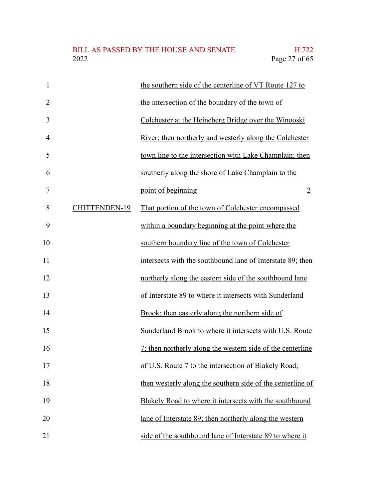| $\mathbf{1}$   |               | the southern side of the centerline of VT Route 127 to     |
|----------------|---------------|------------------------------------------------------------|
| $\overline{2}$ |               | the intersection of the boundary of the town of            |
| 3              |               | Colchester at the Heineberg Bridge over the Winooski       |
| $\overline{4}$ |               | River; then northerly and westerly along the Colchester    |
| 5              |               | town line to the intersection with Lake Champlain; then    |
| 6              |               | southerly along the shore of Lake Champlain to the         |
| $\overline{7}$ |               | point of beginning<br>$\overline{2}$                       |
| 8              | CHITTENDEN-19 | That portion of the town of Colchester encompassed         |
| 9              |               | within a boundary beginning at the point where the         |
| 10             |               | southern boundary line of the town of Colchester           |
| 11             |               | intersects with the southbound lane of Interstate 89; then |
| 12             |               | northerly along the eastern side of the southbound lane    |
| 13             |               | of Interstate 89 to where it intersects with Sunderland    |
| 14             |               | Brook; then easterly along the northern side of            |
| 15             |               | Sunderland Brook to where it intersects with U.S. Route    |
| 16             |               | 7; then northerly along the western side of the centerline |
| 17             |               | of U.S. Route 7 to the intersection of Blakely Road;       |
| 18             |               | then westerly along the southern side of the centerline of |
| 19             |               | Blakely Road to where it intersects with the southbound    |
| 20             |               | lane of Interstate 89; then northerly along the western    |
| 21             |               | side of the southbound lane of Interstate 89 to where it   |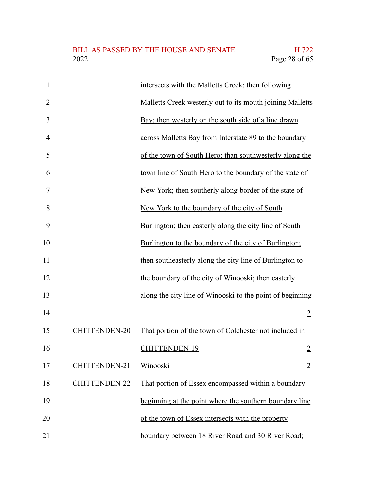| $\mathbf{1}$   |               | intersects with the Malletts Creek; then following        |
|----------------|---------------|-----------------------------------------------------------|
| $\overline{2}$ |               | Malletts Creek westerly out to its mouth joining Malletts |
| 3              |               | Bay; then westerly on the south side of a line drawn      |
| $\overline{4}$ |               | across Malletts Bay from Interstate 89 to the boundary    |
| 5              |               | of the town of South Hero; than southwesterly along the   |
| 6              |               | town line of South Hero to the boundary of the state of   |
| 7              |               | New York; then southerly along border of the state of     |
| 8              |               | New York to the boundary of the city of South             |
| 9              |               | Burlington; then easterly along the city line of South    |
| 10             |               | Burlington to the boundary of the city of Burlington;     |
| 11             |               | then southeasterly along the city line of Burlington to   |
| 12             |               | the boundary of the city of Winooski; then easterly       |
| 13             |               | along the city line of Winooski to the point of beginning |
| 14             |               | $\overline{2}$                                            |
| 15             | CHITTENDEN-20 | That portion of the town of Colchester not included in    |
| 16             |               | CHITTENDEN-19<br>$\overline{2}$                           |
| 17             | CHITTENDEN-21 | Winooski<br>$\overline{2}$                                |
| 18             | CHITTENDEN-22 | That portion of Essex encompassed within a boundary       |
| 19             |               | beginning at the point where the southern boundary line   |
| 20             |               | of the town of Essex intersects with the property         |
| 21             |               | boundary between 18 River Road and 30 River Road;         |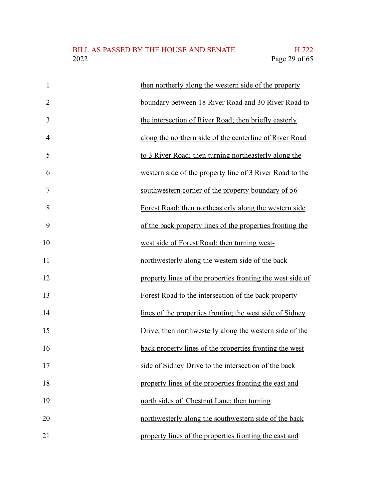| $\mathbf{1}$   | then northerly along the western side of the property      |
|----------------|------------------------------------------------------------|
| $\overline{2}$ | boundary between 18 River Road and 30 River Road to        |
| 3              | the intersection of River Road; then briefly easterly      |
| $\overline{4}$ | along the northern side of the centerline of River Road    |
| 5              | to 3 River Road; then turning northeasterly along the      |
| 6              | western side of the property line of 3 River Road to the   |
| 7              | southwestern corner of the property boundary of 56         |
| 8              | Forest Road; then northeasterly along the western side     |
| 9              | of the back property lines of the properties fronting the  |
| 10             | west side of Forest Road; then turning west-               |
| 11             | northwesterly along the western side of the back           |
| 12             | property lines of the properties fronting the west side of |
| 13             | Forest Road to the intersection of the back property       |
| 14             | lines of the properties fronting the west side of Sidney   |
| 15             | Drive; then northwesterly along the western side of the    |
| 16             | back property lines of the properties fronting the west    |
| 17             | side of Sidney Drive to the intersection of the back       |
| 18             | property lines of the properties fronting the east and     |
| 19             | north sides of Chestnut Lane; then turning                 |
| 20             | northwesterly along the southwestern side of the back      |
| 21             | property lines of the properties fronting the east and     |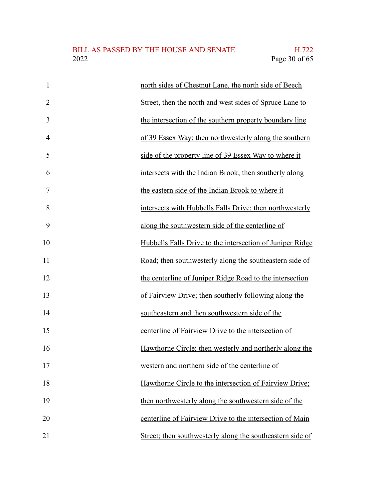| $\mathbf{1}$   | north sides of Chestnut Lane, the north side of Beech     |
|----------------|-----------------------------------------------------------|
| $\overline{2}$ | Street, then the north and west sides of Spruce Lane to   |
| 3              | the intersection of the southern property boundary line   |
| $\overline{4}$ | of 39 Essex Way; then northwesterly along the southern    |
| 5              | side of the property line of 39 Essex Way to where it     |
| 6              | intersects with the Indian Brook; then southerly along    |
| 7              | the eastern side of the Indian Brook to where it          |
| 8              | intersects with Hubbells Falls Drive; then northwesterly  |
| 9              | along the southwestern side of the centerline of          |
| 10             | Hubbells Falls Drive to the intersection of Juniper Ridge |
| 11             | Road; then southwesterly along the southeastern side of   |
| 12             | the centerline of Juniper Ridge Road to the intersection  |
| 13             | of Fairview Drive; then southerly following along the     |
| 14             | southeastern and then southwestern side of the            |
| 15             | centerline of Fairview Drive to the intersection of       |
| 16             | Hawthorne Circle; then westerly and northerly along the   |
| 17             | western and northern side of the centerline of            |
| 18             | Hawthorne Circle to the intersection of Fairview Drive;   |
| 19             | then northwesterly along the southwestern side of the     |
| 20             | centerline of Fairview Drive to the intersection of Main  |
| 21             | Street; then southwesterly along the southeastern side of |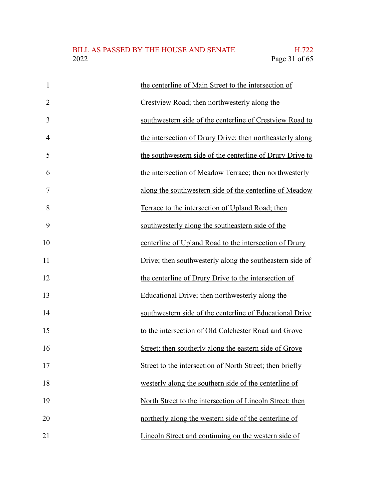| $\mathbf{1}$   | the centerline of Main Street to the intersection of      |
|----------------|-----------------------------------------------------------|
| $\overline{2}$ | Crestview Road; then northwesterly along the              |
| 3              | southwestern side of the centerline of Crestview Road to  |
| $\overline{4}$ | the intersection of Drury Drive; then northeasterly along |
| 5              | the southwestern side of the centerline of Drury Drive to |
| 6              | the intersection of Meadow Terrace; then northwesterly    |
| 7              | along the southwestern side of the centerline of Meadow   |
| 8              | Terrace to the intersection of Upland Road; then          |
| 9              | southwesterly along the southeastern side of the          |
| 10             | centerline of Upland Road to the intersection of Drury    |
| 11             | Drive; then southwesterly along the southeastern side of  |
| 12             | the centerline of Drury Drive to the intersection of      |
| 13             | Educational Drive; then northwesterly along the           |
| 14             | southwestern side of the centerline of Educational Drive  |
| 15             | to the intersection of Old Colchester Road and Grove      |
| 16             | Street; then southerly along the eastern side of Grove    |
| 17             | Street to the intersection of North Street; then briefly  |
| 18             | westerly along the southern side of the centerline of     |
| 19             | North Street to the intersection of Lincoln Street; then  |
| 20             | northerly along the western side of the centerline of     |
| 21             | Lincoln Street and continuing on the western side of      |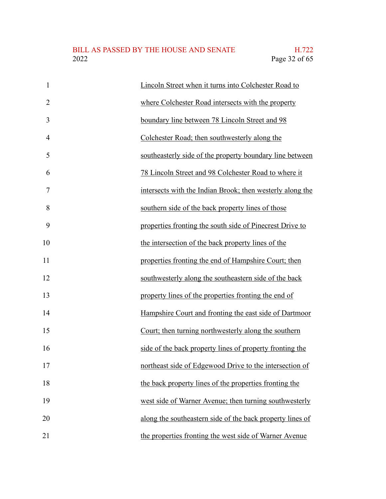| $\mathbf{1}$   | Lincoln Street when it turns into Colchester Road to      |
|----------------|-----------------------------------------------------------|
| $\overline{2}$ | where Colchester Road intersects with the property        |
| 3              | boundary line between 78 Lincoln Street and 98            |
| $\overline{4}$ | Colchester Road; then southwesterly along the             |
| 5              | southeasterly side of the property boundary line between  |
| 6              | 78 Lincoln Street and 98 Colchester Road to where it      |
| 7              | intersects with the Indian Brook; then westerly along the |
| 8              | southern side of the back property lines of those         |
| 9              | properties fronting the south side of Pinecrest Drive to  |
| 10             | the intersection of the back property lines of the        |
| 11             | properties fronting the end of Hampshire Court; then      |
| 12             | southwesterly along the southeastern side of the back     |
| 13             | property lines of the properties fronting the end of      |
| 14             | Hampshire Court and fronting the east side of Dartmoor    |
| 15             | Court; then turning northwesterly along the southern      |
| 16             | side of the back property lines of property fronting the  |
| 17             | northeast side of Edgewood Drive to the intersection of   |
| 18             | the back property lines of the properties fronting the    |
| 19             | west side of Warner Avenue; then turning southwesterly    |
| 20             | along the southeastern side of the back property lines of |
| 21             | the properties fronting the west side of Warner Avenue    |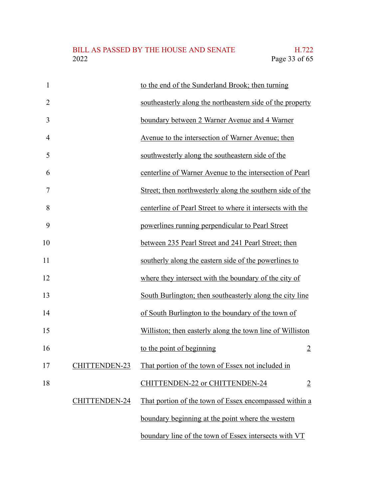| $\mathbf{1}$   |                      | to the end of the Sunderland Brook; then turning           |
|----------------|----------------------|------------------------------------------------------------|
| $\overline{2}$ |                      | southeasterly along the northeastern side of the property  |
| 3              |                      | boundary between 2 Warner Avenue and 4 Warner              |
| $\overline{4}$ |                      | Avenue to the intersection of Warner Avenue; then          |
| 5              |                      | southwesterly along the southeastern side of the           |
| 6              |                      | centerline of Warner Avenue to the intersection of Pearl   |
| $\overline{7}$ |                      | Street; then northwesterly along the southern side of the  |
| 8              |                      | centerline of Pearl Street to where it intersects with the |
| 9              |                      | powerlines running perpendicular to Pearl Street           |
| 10             |                      | between 235 Pearl Street and 241 Pearl Street; then        |
| 11             |                      | southerly along the eastern side of the powerlines to      |
| 12             |                      | where they intersect with the boundary of the city of      |
| 13             |                      | South Burlington; then southeasterly along the city line   |
| 14             |                      | of South Burlington to the boundary of the town of         |
| 15             |                      | Williston; then easterly along the town line of Williston  |
| 16             |                      | to the point of beginning<br>$\overline{2}$                |
| 17             | <b>CHITTENDEN-23</b> | That portion of the town of Essex not included in          |
| 18             |                      | CHITTENDEN-22 or CHITTENDEN-24<br>$\overline{2}$           |
|                | CHITTENDEN-24        | That portion of the town of Essex encompassed within a     |
|                |                      | boundary beginning at the point where the western          |
|                |                      | boundary line of the town of Essex intersects with VT      |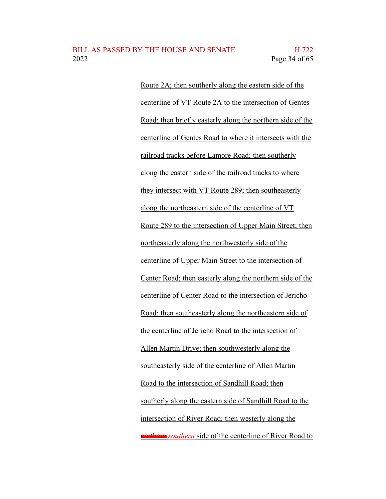Route 2A; then southerly along the eastern side of the centerline of VT Route 2A to the intersection of Gentes Road; then briefly easterly along the northern side of the centerline of Gentes Road to where it intersects with the railroad tracks before Lamore Road; then southerly along the eastern side of the railroad tracks to where they intersect with VT Route 289; then southeasterly along the northeastern side of the centerline of VT Route 289 to the intersection of Upper Main Street; then northeasterly along the northwesterly side of the centerline of Upper Main Street to the intersection of Center Road; then easterly along the northern side of the centerline of Center Road to the intersection of Jericho Road; then southeasterly along the northeastern side of the centerline of Jericho Road to the intersection of Allen Martin Drive; then southwesterly along the southeasterly side of the centerline of Allen Martin Road to the intersection of Sandhill Road; then southerly along the eastern side of Sandhill Road to the intersection of River Road; then westerly along the **northern** *southern* side of the centerline of River Road to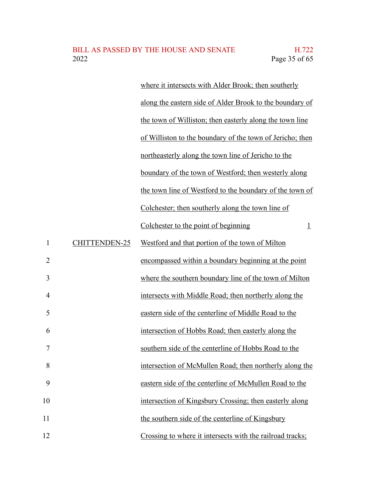|               | where it intersects with Alder Brook; then southerly       |
|---------------|------------------------------------------------------------|
|               | along the eastern side of Alder Brook to the boundary of   |
|               | the town of Williston; then easterly along the town line   |
|               | of Williston to the boundary of the town of Jericho; then  |
|               | northeasterly along the town line of Jericho to the        |
|               | boundary of the town of Westford; then westerly along      |
|               | the town line of Westford to the boundary of the town of   |
|               | Colchester; then southerly along the town line of          |
|               | Colchester to the point of beginning<br>$\overline{\perp}$ |
| CHITTENDEN-25 | Westford and that portion of the town of Milton            |
|               | encompassed within a boundary beginning at the point       |
|               | where the southern boundary line of the town of Milton     |
|               | intersects with Middle Road; then northerly along the      |
|               | eastern side of the centerline of Middle Road to the       |
|               | intersection of Hobbs Road; then easterly along the        |
|               | southern side of the centerline of Hobbs Road to the       |
|               | intersection of McMullen Road; then northerly along the    |
|               | eastern side of the centerline of McMullen Road to the     |
|               | intersection of Kingsbury Crossing; then easterly along    |
|               | the southern side of the centerline of Kingsbury           |
|               | Crossing to where it intersects with the railroad tracks;  |

1

2

3

4

5

6

7

8

9

10

11

12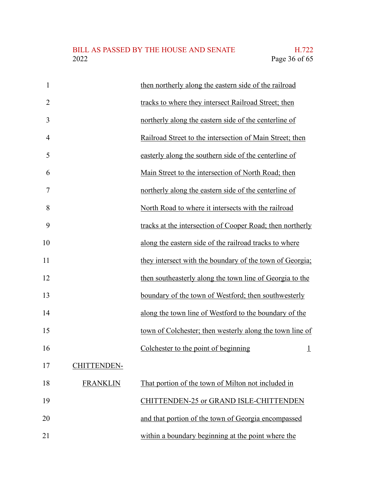| $\mathbf{1}$   |                    | then northerly along the eastern side of the railroad     |
|----------------|--------------------|-----------------------------------------------------------|
| $\overline{2}$ |                    | tracks to where they intersect Railroad Street; then      |
| 3              |                    | northerly along the eastern side of the centerline of     |
| $\overline{4}$ |                    | Railroad Street to the intersection of Main Street; then  |
| 5              |                    | easterly along the southern side of the centerline of     |
| 6              |                    | Main Street to the intersection of North Road; then       |
| $\overline{7}$ |                    | northerly along the eastern side of the centerline of     |
| 8              |                    | North Road to where it intersects with the railroad       |
| 9              |                    | tracks at the intersection of Cooper Road; then northerly |
| 10             |                    | along the eastern side of the railroad tracks to where    |
| 11             |                    | they intersect with the boundary of the town of Georgia;  |
| 12             |                    | then southeasterly along the town line of Georgia to the  |
| 13             |                    | boundary of the town of Westford; then southwesterly      |
| 14             |                    | along the town line of Westford to the boundary of the    |
| 15             |                    | town of Colchester; then westerly along the town line of  |
| 16             |                    | Colchester to the point of beginning<br>$\overline{1}$    |
| 17             | <b>CHITTENDEN-</b> |                                                           |
| 18             | <b>FRANKLIN</b>    | That portion of the town of Milton not included in        |
| 19             |                    | CHITTENDEN-25 or GRAND ISLE-CHITTENDEN                    |
| 20             |                    | and that portion of the town of Georgia encompassed       |
| 21             |                    | within a boundary beginning at the point where the        |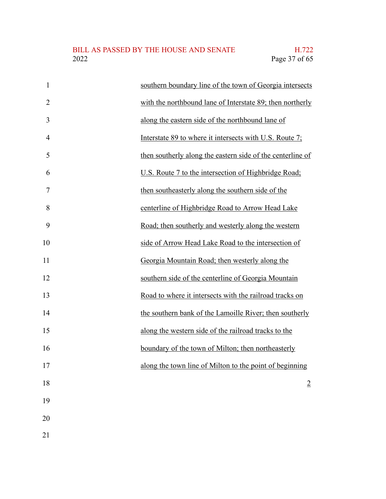| $\mathbf{1}$   | southern boundary line of the town of Georgia intersects   |
|----------------|------------------------------------------------------------|
| $\overline{2}$ | with the northbound lane of Interstate 89; then northerly  |
| 3              | along the eastern side of the northbound lane of           |
| $\overline{4}$ | Interstate 89 to where it intersects with U.S. Route 7;    |
| 5              | then southerly along the eastern side of the centerline of |
| 6              | U.S. Route 7 to the intersection of Highbridge Road;       |
| $\overline{7}$ | then southeasterly along the southern side of the          |
| 8              | centerline of Highbridge Road to Arrow Head Lake           |
| 9              | Road; then southerly and westerly along the western        |
| 10             | side of Arrow Head Lake Road to the intersection of        |
| 11             | Georgia Mountain Road; then westerly along the             |
| 12             | southern side of the centerline of Georgia Mountain        |
| 13             | Road to where it intersects with the railroad tracks on    |
| 14             | the southern bank of the Lamoille River; then southerly    |
| 15             | along the western side of the railroad tracks to the       |
| 16             | boundary of the town of Milton; then northeasterly         |
| 17             | along the town line of Milton to the point of beginning    |
| 18             | $\overline{2}$                                             |
| 19             |                                                            |
| 20             |                                                            |
|                |                                                            |

21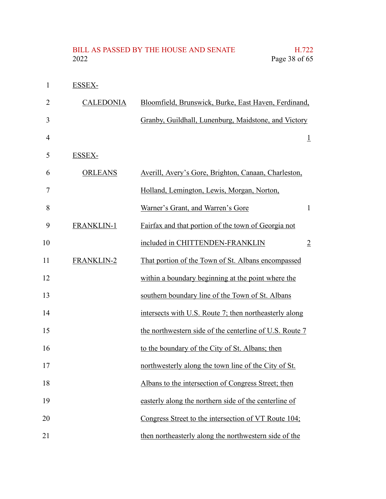| $\mathbf{1}$   | ESSEX-            |                                                         |
|----------------|-------------------|---------------------------------------------------------|
| $\overline{2}$ | <b>CALEDONIA</b>  | Bloomfield, Brunswick, Burke, East Haven, Ferdinand,    |
| 3              |                   | Granby, Guildhall, Lunenburg, Maidstone, and Victory    |
| 4              |                   | $\overline{\perp}$                                      |
| 5              | ESSEX-            |                                                         |
| 6              | <b>ORLEANS</b>    | Averill, Avery's Gore, Brighton, Canaan, Charleston,    |
| 7              |                   | Holland, Lemington, Lewis, Morgan, Norton,              |
| 8              |                   | Warner's Grant, and Warren's Gore<br>$\mathbf{1}$       |
| 9              | <b>FRANKLIN-1</b> | Fairfax and that portion of the town of Georgia not     |
| 10             |                   | included in CHITTENDEN-FRANKLIN<br>$\overline{2}$       |
| 11             | <b>FRANKLIN-2</b> | That portion of the Town of St. Albans encompassed      |
| 12             |                   | within a boundary beginning at the point where the      |
| 13             |                   | southern boundary line of the Town of St. Albans        |
| 14             |                   | intersects with U.S. Route 7; then northeasterly along  |
| 15             |                   | the northwestern side of the centerline of U.S. Route 7 |
| 16             |                   | to the boundary of the City of St. Albans; then         |
| 17             |                   | northwesterly along the town line of the City of St.    |
| 18             |                   | Albans to the intersection of Congress Street; then     |
| 19             |                   | easterly along the northern side of the centerline of   |
| 20             |                   | Congress Street to the intersection of VT Route 104;    |
| 21             |                   | then northeasterly along the northwestern side of the   |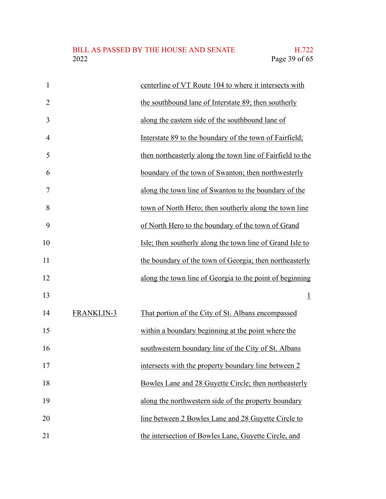| 1              |                   | centerline of VT Route 104 to where it intersects with     |
|----------------|-------------------|------------------------------------------------------------|
| $\overline{2}$ |                   | the southbound lane of Interstate 89; then southerly       |
| 3              |                   | along the eastern side of the southbound lane of           |
| 4              |                   | Interstate 89 to the boundary of the town of Fairfield;    |
| 5              |                   | then northeasterly along the town line of Fairfield to the |
| 6              |                   | boundary of the town of Swanton; then northwesterly        |
| 7              |                   | along the town line of Swanton to the boundary of the      |
| 8              |                   | town of North Hero; then southerly along the town line     |
| 9              |                   | of North Hero to the boundary of the town of Grand         |
| 10             |                   | Isle; then southerly along the town line of Grand Isle to  |
| 11             |                   | the boundary of the town of Georgia; then northeasterly    |
| 12             |                   | along the town line of Georgia to the point of beginning   |
| 13             |                   | $\perp$                                                    |
| 14             | <b>FRANKLIN-3</b> | That portion of the City of St. Albans encompassed         |
| 15             |                   | within a boundary beginning at the point where the         |
| 16             |                   | southwestern boundary line of the City of St. Albans       |
| 17             |                   | intersects with the property boundary line between 2       |
| 18             |                   | Bowles Lane and 28 Guyette Circle; then northeasterly      |
| 19             |                   | along the northwestern side of the property boundary       |
| 20             |                   | line between 2 Bowles Lane and 28 Guyette Circle to        |
| 21             |                   | the intersection of Bowles Lane, Guyette Circle, and       |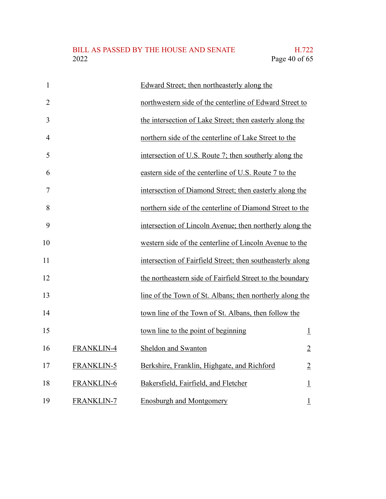| $\mathbf{1}$   |                   | Edward Street; then northeasterly along the                |                |
|----------------|-------------------|------------------------------------------------------------|----------------|
| $\overline{2}$ |                   | northwestern side of the centerline of Edward Street to    |                |
| 3              |                   | the intersection of Lake Street; then easterly along the   |                |
| $\overline{4}$ |                   | northern side of the centerline of Lake Street to the      |                |
| 5              |                   | intersection of U.S. Route 7; then southerly along the     |                |
| 6              |                   | eastern side of the centerline of U.S. Route 7 to the      |                |
| 7              |                   | intersection of Diamond Street; then easterly along the    |                |
| 8              |                   | northern side of the centerline of Diamond Street to the   |                |
| 9              |                   | intersection of Lincoln Avenue; then northerly along the   |                |
| 10             |                   | western side of the centerline of Lincoln Avenue to the    |                |
| 11             |                   | intersection of Fairfield Street; then southeasterly along |                |
| 12             |                   | the northeastern side of Fairfield Street to the boundary  |                |
| 13             |                   | line of the Town of St. Albans; then northerly along the   |                |
| 14             |                   | town line of the Town of St. Albans, then follow the       |                |
| 15             |                   | town line to the point of beginning                        | $\perp$        |
| 16             | <b>FRANKLIN-4</b> | Sheldon and Swanton                                        | $\overline{2}$ |
| 17             | <b>FRANKLIN-5</b> | Berkshire, Franklin, Highgate, and Richford                | $\overline{2}$ |
| 18             | <b>FRANKLIN-6</b> | Bakersfield, Fairfield, and Fletcher                       | $\overline{1}$ |
| 19             | <b>FRANKLIN-7</b> | <b>Enosburgh and Montgomery</b>                            | $\overline{1}$ |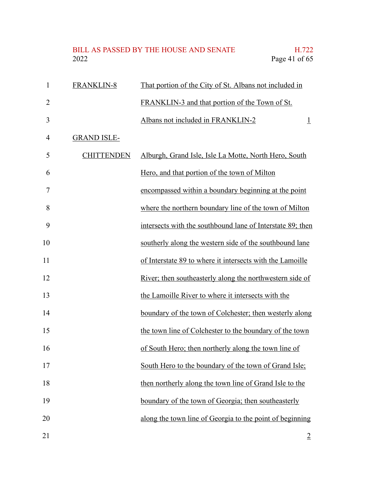# BILL AS PASSED BY THE HOUSE AND SENATE H.722<br>2022 Page 41 of 65

| $\mathbf{1}$   | <b>FRANKLIN-8</b>  | That portion of the City of St. Albans not included in     |
|----------------|--------------------|------------------------------------------------------------|
| $\overline{2}$ |                    | FRANKLIN-3 and that portion of the Town of St.             |
| 3              |                    | Albans not included in FRANKLIN-2<br>$\perp$               |
| 4              | <b>GRAND ISLE-</b> |                                                            |
| 5              | <b>CHITTENDEN</b>  | Alburgh, Grand Isle, Isle La Motte, North Hero, South      |
| 6              |                    | Hero, and that portion of the town of Milton               |
| 7              |                    | encompassed within a boundary beginning at the point       |
| 8              |                    | where the northern boundary line of the town of Milton     |
| 9              |                    | intersects with the southbound lane of Interstate 89; then |
| 10             |                    | southerly along the western side of the southbound lane    |
| 11             |                    | of Interstate 89 to where it intersects with the Lamoille  |
| 12             |                    | River; then southeasterly along the northwestern side of   |
| 13             |                    | the Lamoille River to where it intersects with the         |
| 14             |                    | boundary of the town of Colchester; then westerly along    |
| 15             |                    | the town line of Colchester to the boundary of the town    |
| 16             |                    | of South Hero; then northerly along the town line of       |
| 17             |                    | South Hero to the boundary of the town of Grand Isle;      |
| 18             |                    | then northerly along the town line of Grand Isle to the    |
| 19             |                    | boundary of the town of Georgia; then southeasterly        |
| 20             |                    | along the town line of Georgia to the point of beginning   |
| 21             |                    | $\overline{2}$                                             |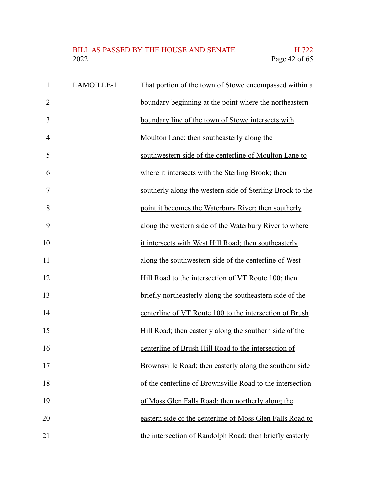# BILL AS PASSED BY THE HOUSE AND SENATE H.722<br>2022 Page 42 of 65

| $\mathbf{1}$   | LAMOILLE-1 | That portion of the town of Stowe encompassed within a    |
|----------------|------------|-----------------------------------------------------------|
| $\overline{2}$ |            | boundary beginning at the point where the northeastern    |
| 3              |            | boundary line of the town of Stowe intersects with        |
| $\overline{4}$ |            | Moulton Lane; then southeasterly along the                |
| 5              |            | southwestern side of the centerline of Moulton Lane to    |
| 6              |            | where it intersects with the Sterling Brook; then         |
| 7              |            | southerly along the western side of Sterling Brook to the |
| 8              |            | point it becomes the Waterbury River; then southerly      |
| 9              |            | along the western side of the Waterbury River to where    |
| 10             |            | it intersects with West Hill Road; then southeasterly     |
| 11             |            | along the southwestern side of the centerline of West     |
| 12             |            | Hill Road to the intersection of VT Route 100; then       |
| 13             |            | briefly northeasterly along the southeastern side of the  |
| 14             |            | centerline of VT Route 100 to the intersection of Brush   |
| 15             |            | Hill Road; then easterly along the southern side of the   |
| 16             |            | centerline of Brush Hill Road to the intersection of      |
| 17             |            | Brownsville Road; then easterly along the southern side   |
| 18             |            | of the centerline of Brownsville Road to the intersection |
| 19             |            | of Moss Glen Falls Road; then northerly along the         |
| 20             |            | eastern side of the centerline of Moss Glen Falls Road to |
| 21             |            | the intersection of Randolph Road; then briefly easterly  |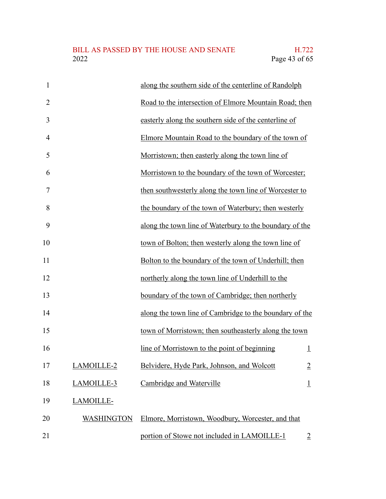| $\mathbf{1}$   |                   | along the southern side of the centerline of Randolph   |                |
|----------------|-------------------|---------------------------------------------------------|----------------|
| $\overline{2}$ |                   | Road to the intersection of Elmore Mountain Road; then  |                |
| 3              |                   | easterly along the southern side of the centerline of   |                |
| $\overline{4}$ |                   | Elmore Mountain Road to the boundary of the town of     |                |
| 5              |                   | Morristown; then easterly along the town line of        |                |
| 6              |                   | Morristown to the boundary of the town of Worcester;    |                |
| 7              |                   | then southwesterly along the town line of Worcester to  |                |
| 8              |                   | the boundary of the town of Waterbury; then westerly    |                |
| 9              |                   | along the town line of Waterbury to the boundary of the |                |
| 10             |                   | town of Bolton; then westerly along the town line of    |                |
| 11             |                   | Bolton to the boundary of the town of Underhill; then   |                |
| 12             |                   | northerly along the town line of Underhill to the       |                |
| 13             |                   | boundary of the town of Cambridge; then northerly       |                |
| 14             |                   | along the town line of Cambridge to the boundary of the |                |
| 15             |                   | town of Morristown; then southeasterly along the town   |                |
| 16             |                   | line of Morristown to the point of beginning            | $\perp$        |
| 17             | LAMOILLE-2        | Belvidere, Hyde Park, Johnson, and Wolcott              | $\overline{2}$ |
| 18             | LAMOILLE-3        | Cambridge and Waterville                                | $\perp$        |
| 19             | LAMOILLE-         |                                                         |                |
| 20             | <b>WASHINGTON</b> | Elmore, Morristown, Woodbury, Worcester, and that       |                |
| 21             |                   | portion of Stowe not included in LAMOILLE-1             | $\overline{2}$ |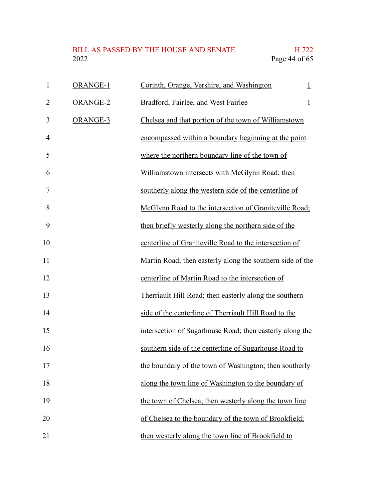| 1              | <b>ORANGE-1</b> | Corinth, Orange, Vershire, and Washington                 | $\perp$ |
|----------------|-----------------|-----------------------------------------------------------|---------|
| $\overline{2}$ | ORANGE-2        | Bradford, Fairlee, and West Fairlee                       | $\perp$ |
| 3              | ORANGE-3        | Chelsea and that portion of the town of Williamstown      |         |
| $\overline{4}$ |                 | encompassed within a boundary beginning at the point      |         |
| 5              |                 | where the northern boundary line of the town of           |         |
| 6              |                 | Williamstown intersects with McGlynn Road; then           |         |
| 7              |                 | southerly along the western side of the centerline of     |         |
| 8              |                 | McGlynn Road to the intersection of Graniteville Road;    |         |
| 9              |                 | then briefly westerly along the northern side of the      |         |
| 10             |                 | centerline of Graniteville Road to the intersection of    |         |
| 11             |                 | Martin Road; then easterly along the southern side of the |         |
| 12             |                 | centerline of Martin Road to the intersection of          |         |
| 13             |                 | Therriault Hill Road; then easterly along the southern    |         |
| 14             |                 | side of the centerline of Therriault Hill Road to the     |         |
| 15             |                 | intersection of Sugarhouse Road; then easterly along the  |         |
| 16             |                 | southern side of the centerline of Sugarhouse Road to     |         |
| 17             |                 | the boundary of the town of Washington; then southerly    |         |
| 18             |                 | along the town line of Washington to the boundary of      |         |
| 19             |                 | the town of Chelsea; then westerly along the town line    |         |
| 20             |                 | of Chelsea to the boundary of the town of Brookfield;     |         |
| 21             |                 | then westerly along the town line of Brookfield to        |         |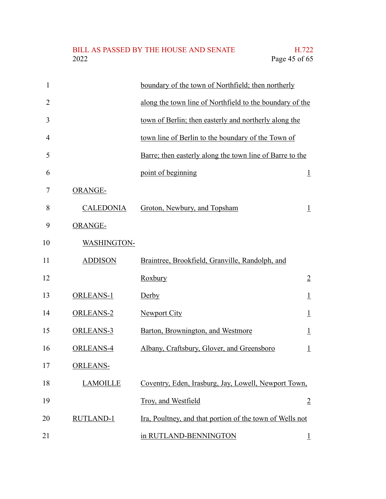#### BILL AS PASSED BY THE HOUSE AND SENATE H.722<br>2022 Page 45 of 65 Page 45 of 65

| $\mathbf{1}$   |                  | boundary of the town of Northfield; then northerly       |                |
|----------------|------------------|----------------------------------------------------------|----------------|
| $\overline{2}$ |                  | along the town line of Northfield to the boundary of the |                |
| 3              |                  | town of Berlin; then easterly and northerly along the    |                |
| 4              |                  | town line of Berlin to the boundary of the Town of       |                |
| 5              |                  | Barre; then easterly along the town line of Barre to the |                |
| 6              |                  | point of beginning                                       | $\perp$        |
| 7              | ORANGE-          |                                                          |                |
| 8              | <b>CALEDONIA</b> | Groton, Newbury, and Topsham                             | $\perp$        |
| 9              | ORANGE-          |                                                          |                |
| 10             | WASHINGTON-      |                                                          |                |
| 11             | <b>ADDISON</b>   | Braintree, Brookfield, Granville, Randolph, and          |                |
| 12             |                  | Roxbury                                                  | $\overline{2}$ |
| 13             | <b>ORLEANS-1</b> | Derby                                                    | $\perp$        |
| 14             | <b>ORLEANS-2</b> | <b>Newport City</b>                                      | $\perp$        |
| 15             | ORLEANS-3        | Barton, Brownington, and Westmore                        | $\perp$        |
| 16             | ORLEANS-4        | Albany, Craftsbury, Glover, and Greensboro               | $\overline{1}$ |
| 17             | <b>ORLEANS-</b>  |                                                          |                |
| 18             | <b>LAMOILLE</b>  | Coventry, Eden, Irasburg, Jay, Lowell, Newport Town,     |                |
| 19             |                  | Troy, and Westfield                                      | $\overline{2}$ |
| 20             | <b>RUTLAND-1</b> | Ira, Poultney, and that portion of the town of Wells not |                |
| 21             |                  | in RUTLAND-BENNINGTON                                    | $\perp$        |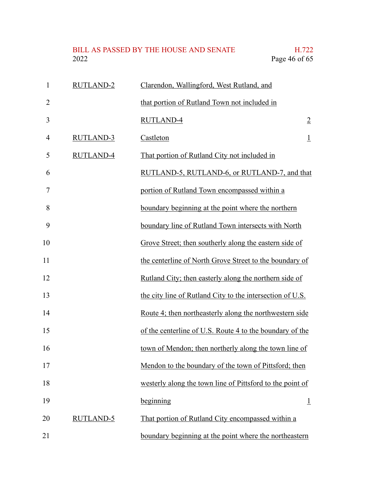# BILL AS PASSED BY THE HOUSE AND SENATE H.722<br>2022 Page 46 of 65

1

2

3

4

5

6

7

8

9

10

11

12

13

14

15

16

17

18

19

| <b>RUTLAND-2</b> | Clarendon, Wallingford, West Rutland, and                 |                |
|------------------|-----------------------------------------------------------|----------------|
|                  | that portion of Rutland Town not included in              |                |
|                  | RUTLAND-4                                                 | $\overline{2}$ |
| <b>RUTLAND-3</b> | Castleton                                                 | $\perp$        |
| <b>RUTLAND-4</b> | That portion of Rutland City not included in              |                |
|                  | RUTLAND-5, RUTLAND-6, or RUTLAND-7, and that              |                |
|                  | portion of Rutland Town encompassed within a              |                |
|                  | boundary beginning at the point where the northern        |                |
|                  | boundary line of Rutland Town intersects with North       |                |
|                  | Grove Street; then southerly along the eastern side of    |                |
|                  | the centerline of North Grove Street to the boundary of   |                |
|                  | Rutland City; then easterly along the northern side of    |                |
|                  | the city line of Rutland City to the intersection of U.S. |                |
|                  | Route 4; then northeasterly along the northwestern side   |                |
|                  | of the centerline of U.S. Route 4 to the boundary of the  |                |
|                  | town of Mendon; then northerly along the town line of     |                |
|                  | Mendon to the boundary of the town of Pittsford; then     |                |
|                  | westerly along the town line of Pittsford to the point of |                |
|                  | beginning                                                 | $\perp$        |

RUTLAND-5 That portion of Rutland City encompassed within a boundary beginning at the point where the northeastern 20 21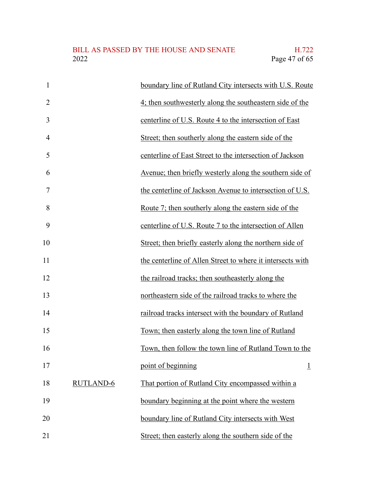| $\mathbf{1}$   |                  | boundary line of Rutland City intersects with U.S. Route        |
|----------------|------------------|-----------------------------------------------------------------|
| $\overline{2}$ |                  | 4; then southwesterly along the southeastern side of the        |
| 3              |                  | centerline of U.S. Route 4 to the intersection of East          |
| $\overline{4}$ |                  | Street; then southerly along the eastern side of the            |
| 5              |                  | centerline of East Street to the intersection of Jackson        |
| 6              |                  | <u>Avenue; then briefly westerly along the southern side of</u> |
| 7              |                  | the centerline of Jackson Avenue to intersection of U.S.        |
| 8              |                  | Route 7; then southerly along the eastern side of the           |
| 9              |                  | centerline of U.S. Route 7 to the intersection of Allen         |
| 10             |                  | Street; then briefly easterly along the northern side of        |
| 11             |                  | the centerline of Allen Street to where it intersects with      |
| 12             |                  | the railroad tracks; then southeasterly along the               |
| 13             |                  | northeastern side of the railroad tracks to where the           |
| 14             |                  | railroad tracks intersect with the boundary of Rutland          |
| 15             |                  | Town; then easterly along the town line of Rutland              |
| 16             |                  | Town, then follow the town line of Rutland Town to the          |
| 17             |                  | point of beginning<br>Ŧ                                         |
| 18             | <b>RUTLAND-6</b> | That portion of Rutland City encompassed within a               |
| 19             |                  | boundary beginning at the point where the western               |
| 20             |                  | boundary line of Rutland City intersects with West              |
| 21             |                  | Street; then easterly along the southern side of the            |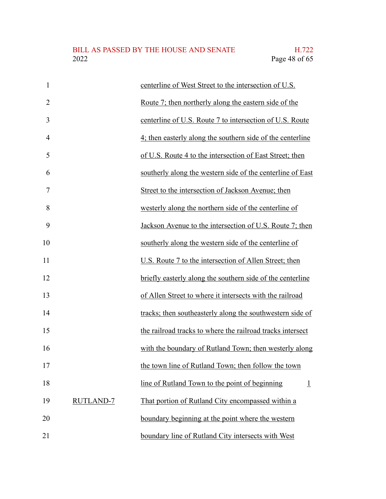| $\mathbf{1}$   |                  | centerline of West Street to the intersection of U.S.        |
|----------------|------------------|--------------------------------------------------------------|
| $\overline{2}$ |                  | <u>Route 7; then northerly along the eastern side of the</u> |
| 3              |                  | centerline of U.S. Route 7 to intersection of U.S. Route     |
| $\overline{4}$ |                  | 4; then easterly along the southern side of the centerline   |
| 5              |                  | of U.S. Route 4 to the intersection of East Street; then     |
| 6              |                  | southerly along the western side of the centerline of East   |
| $\overline{7}$ |                  | Street to the intersection of Jackson Avenue; then           |
| 8              |                  | westerly along the northern side of the centerline of        |
| 9              |                  | Jackson Avenue to the intersection of U.S. Route 7; then     |
| 10             |                  | southerly along the western side of the centerline of        |
| 11             |                  | U.S. Route 7 to the intersection of Allen Street; then       |
| 12             |                  | briefly easterly along the southern side of the centerline   |
| 13             |                  | of Allen Street to where it intersects with the railroad     |
| 14             |                  | tracks; then southeasterly along the southwestern side of    |
| 15             |                  | the railroad tracks to where the railroad tracks intersect   |
| 16             |                  | with the boundary of Rutland Town; then westerly along       |
| 17             |                  | the town line of Rutland Town; then follow the town          |
| 18             |                  | line of Rutland Town to the point of beginning<br>$\perp$    |
| 19             | <b>RUTLAND-7</b> | That portion of Rutland City encompassed within a            |
| 20             |                  | boundary beginning at the point where the western            |
| 21             |                  | boundary line of Rutland City intersects with West           |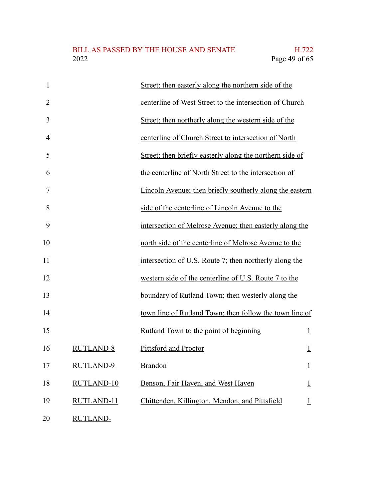| $\mathbf{1}$   |                   | Street; then easterly along the northern side of the     |                |
|----------------|-------------------|----------------------------------------------------------|----------------|
| $\overline{2}$ |                   | centerline of West Street to the intersection of Church  |                |
| 3              |                   | Street; then northerly along the western side of the     |                |
| $\overline{4}$ |                   | centerline of Church Street to intersection of North     |                |
| 5              |                   | Street; then briefly easterly along the northern side of |                |
| 6              |                   | the centerline of North Street to the intersection of    |                |
| 7              |                   | Lincoln Avenue; then briefly southerly along the eastern |                |
| 8              |                   | side of the centerline of Lincoln Avenue to the          |                |
| 9              |                   | intersection of Melrose Avenue; then easterly along the  |                |
| 10             |                   | north side of the centerline of Melrose Avenue to the    |                |
| 11             |                   | intersection of U.S. Route 7; then northerly along the   |                |
| 12             |                   | western side of the centerline of U.S. Route 7 to the    |                |
| 13             |                   | boundary of Rutland Town; then westerly along the        |                |
| 14             |                   | town line of Rutland Town; then follow the town line of  |                |
| 15             |                   | Rutland Town to the point of beginning                   | $\perp$        |
| 16             | <b>RUTLAND-8</b>  | Pittsford and Proctor                                    | $\overline{1}$ |
| 17             | RUTLAND-9         | Brandon                                                  | $\overline{1}$ |
| 18             | <b>RUTLAND-10</b> | Benson, Fair Haven, and West Haven                       | $\perp$        |
| 19             | RUTLAND-11        | Chittenden, Killington, Mendon, and Pittsfield           | $\perp$        |
| 20             | <b>RUTLAND-</b>   |                                                          |                |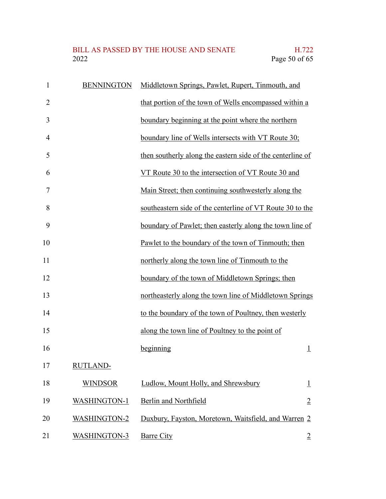# BILL AS PASSED BY THE HOUSE AND SENATE H.722<br>2022 Page 50 of 65

| $\mathbf{1}$   | <b>BENNINGTON</b>   | Middletown Springs, Pawlet, Rupert, Tinmouth, and          |                    |
|----------------|---------------------|------------------------------------------------------------|--------------------|
| $\overline{2}$ |                     | that portion of the town of Wells encompassed within a     |                    |
| 3              |                     | boundary beginning at the point where the northern         |                    |
| $\overline{4}$ |                     | boundary line of Wells intersects with VT Route 30;        |                    |
| 5              |                     | then southerly along the eastern side of the centerline of |                    |
| 6              |                     | VT Route 30 to the intersection of VT Route 30 and         |                    |
| 7              |                     | Main Street; then continuing southwesterly along the       |                    |
| 8              |                     | southeastern side of the centerline of VT Route 30 to the  |                    |
| 9              |                     | boundary of Pawlet; then easterly along the town line of   |                    |
| 10             |                     | Pawlet to the boundary of the town of Tinmouth; then       |                    |
| 11             |                     | northerly along the town line of Tinmouth to the           |                    |
| 12             |                     | boundary of the town of Middletown Springs; then           |                    |
| 13             |                     | northeasterly along the town line of Middletown Springs    |                    |
| 14             |                     | to the boundary of the town of Poultney, then westerly     |                    |
| 15             |                     | along the town line of Poultney to the point of            |                    |
| 16             |                     | beginning                                                  | $\overline{1}$     |
| 17             | <b>RUTLAND-</b>     |                                                            |                    |
| 18             | <b>WINDSOR</b>      | Ludlow, Mount Holly, and Shrewsbury                        | $\overline{\perp}$ |
| 19             | <b>WASHINGTON-1</b> | Berlin and Northfield                                      | $\overline{2}$     |
| 20             | <b>WASHINGTON-2</b> | Duxbury, Fayston, Moretown, Waitsfield, and Warren 2       |                    |
| 21             | <b>WASHINGTON-3</b> | <b>Barre City</b>                                          | $\overline{2}$     |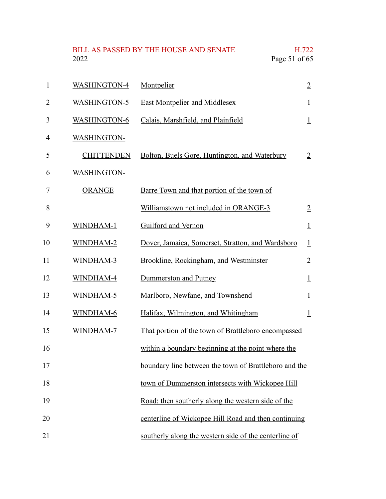BILL AS PASSED BY THE HOUSE AND SENATE H.722<br>2022 Page 51 of 65 Page 51 of 65

| 1  | <b>WASHINGTON-4</b> | Montpelier                                            | $\overline{2}$     |
|----|---------------------|-------------------------------------------------------|--------------------|
| 2  | <b>WASHINGTON-5</b> | <b>East Montpelier and Middlesex</b>                  | $\overline{1}$     |
| 3  | <b>WASHINGTON-6</b> | Calais, Marshfield, and Plainfield                    | $\perp$            |
| 4  | <b>WASHINGTON-</b>  |                                                       |                    |
| 5  | <b>CHITTENDEN</b>   | Bolton, Buels Gore, Huntington, and Waterbury         | $\overline{2}$     |
| 6  | <b>WASHINGTON-</b>  |                                                       |                    |
| 7  | <b>ORANGE</b>       | Barre Town and that portion of the town of            |                    |
| 8  |                     | Williamstown not included in ORANGE-3                 | $\overline{2}$     |
| 9  | WINDHAM-1           | Guilford and Vernon                                   | $\perp$            |
| 10 | WINDHAM-2           | Dover, Jamaica, Somerset, Stratton, and Wardsboro     | $\perp$            |
| 11 | WINDHAM-3           | Brookline, Rockingham, and Westminster                | $\overline{2}$     |
| 12 | WINDHAM-4           | Dummerston and Putney                                 | $\perp$            |
| 13 | WINDHAM-5           | Marlboro, Newfane, and Townshend                      | $\overline{\perp}$ |
| 14 | WINDHAM-6           | Halifax, Wilmington, and Whitingham                   | $\perp$            |
| 15 | WINDHAM-7           | That portion of the town of Brattleboro encompassed   |                    |
| 16 |                     | within a boundary beginning at the point where the    |                    |
| 17 |                     | boundary line between the town of Brattleboro and the |                    |
| 18 |                     | town of Dummerston intersects with Wickopee Hill      |                    |
| 19 |                     | Road; then southerly along the western side of the    |                    |
| 20 |                     | centerline of Wickopee Hill Road and then continuing  |                    |
| 21 |                     | southerly along the western side of the centerline of |                    |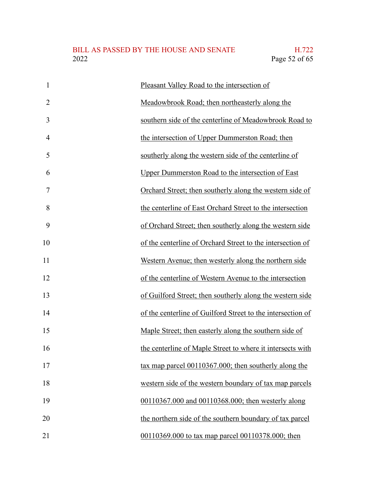| $\mathbf{1}$   | Pleasant Valley Road to the intersection of                 |
|----------------|-------------------------------------------------------------|
| $\overline{2}$ | Meadowbrook Road; then northeasterly along the              |
| 3              | southern side of the centerline of Meadowbrook Road to      |
| $\overline{4}$ | the intersection of Upper Dummerston Road; then             |
| 5              | southerly along the western side of the centerline of       |
| 6              | Upper Dummerston Road to the intersection of East           |
| $\overline{7}$ | Orchard Street; then southerly along the western side of    |
| 8              | the centerline of East Orchard Street to the intersection   |
| 9              | of Orchard Street; then southerly along the western side    |
| 10             | of the centerline of Orchard Street to the intersection of  |
| 11             | Western Avenue; then westerly along the northern side       |
| 12             | of the centerline of Western Avenue to the intersection     |
| 13             | of Guilford Street; then southerly along the western side   |
| 14             | of the centerline of Guilford Street to the intersection of |
| 15             | Maple Street; then easterly along the southern side of      |
| 16             | the centerline of Maple Street to where it intersects with  |
| 17             | tax map parcel 00110367.000; then southerly along the       |
| 18             | western side of the western boundary of tax map parcels     |
| 19             | 00110367.000 and 00110368.000; then westerly along          |
| 20             | the northern side of the southern boundary of tax parcel    |
| 21             | 00110369.000 to tax map parcel 00110378.000; then           |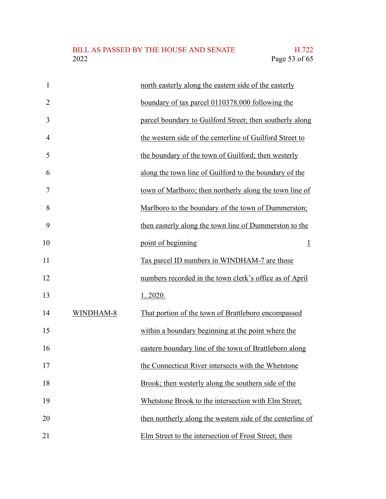| $\mathbf{1}$   |           | north easterly along the eastern side of the easterly      |
|----------------|-----------|------------------------------------------------------------|
| $\overline{2}$ |           | boundary of tax parcel 0110378.000 following the           |
| 3              |           | parcel boundary to Guilford Street; then southerly along   |
| 4              |           | the western side of the centerline of Guilford Street to   |
| 5              |           | the boundary of the town of Guilford; then westerly        |
| 6              |           | along the town line of Guilford to the boundary of the     |
| 7              |           | town of Marlboro; then northerly along the town line of    |
| 8              |           | Marlboro to the boundary of the town of Dummerston;        |
| 9              |           | then easterly along the town line of Dummerston to the     |
| 10             |           | point of beginning<br>$\perp$                              |
| 11             |           | Tax parcel ID numbers in WINDHAM-7 are those               |
| 12             |           | numbers recorded in the town clerk's office as of April    |
| 13             |           | 1, 2020.                                                   |
| 14             | WINDHAM-8 | That portion of the town of Brattleboro encompassed        |
| 15             |           | within a boundary beginning at the point where the         |
| 16             |           | eastern boundary line of the town of Brattleboro along     |
| 17             |           | the Connecticut River intersects with the Whetstone        |
| 18             |           | Brook; then westerly along the southern side of the        |
| 19             |           | Whetstone Brook to the intersection with Elm Street;       |
| 20             |           | then northerly along the western side of the centerline of |
| 21             |           | Elm Street to the intersection of Frost Street; then       |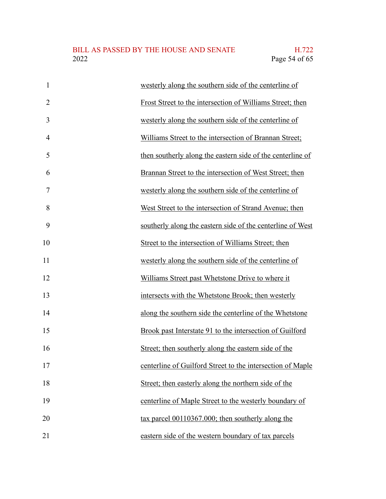| $\mathbf{1}$   | westerly along the southern side of the centerline of      |
|----------------|------------------------------------------------------------|
| $\overline{2}$ | Frost Street to the intersection of Williams Street; then  |
| 3              | westerly along the southern side of the centerline of      |
| $\overline{4}$ | Williams Street to the intersection of Brannan Street;     |
| 5              | then southerly along the eastern side of the centerline of |
| 6              | Brannan Street to the intersection of West Street; then    |
| 7              | westerly along the southern side of the centerline of      |
| 8              | West Street to the intersection of Strand Avenue; then     |
| 9              | southerly along the eastern side of the centerline of West |
| 10             | Street to the intersection of Williams Street; then        |
| 11             | westerly along the southern side of the centerline of      |
| 12             | Williams Street past Whetstone Drive to where it           |
| 13             | intersects with the Whetstone Brook; then westerly         |
| 14             | along the southern side the centerline of the Whetstone    |
| 15             | Brook past Interstate 91 to the intersection of Guilford   |
| 16             | Street; then southerly along the eastern side of the       |
| 17             | centerline of Guilford Street to the intersection of Maple |
| 18             | Street; then easterly along the northern side of the       |
| 19             | centerline of Maple Street to the westerly boundary of     |
| 20             | tax parcel 00110367.000; then southerly along the          |
| 21             | eastern side of the western boundary of tax parcels        |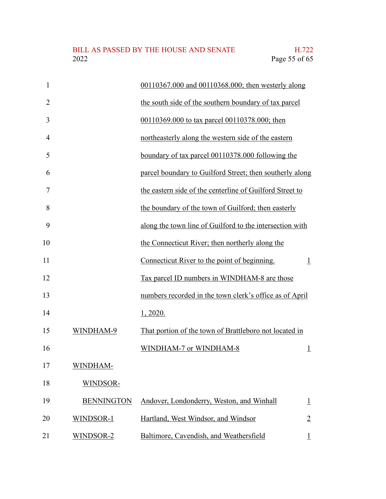| $\mathbf{1}$   |                   | 00110367.000 and 00110368.000; then westerly along       |                    |
|----------------|-------------------|----------------------------------------------------------|--------------------|
| $\overline{2}$ |                   | the south side of the southern boundary of tax parcel    |                    |
| 3              |                   | 00110369.000 to tax parcel 00110378.000; then            |                    |
| $\overline{4}$ |                   | northeasterly along the western side of the eastern      |                    |
| 5              |                   | boundary of tax parcel 00110378.000 following the        |                    |
| 6              |                   | parcel boundary to Guilford Street; then southerly along |                    |
| $\overline{7}$ |                   | the eastern side of the centerline of Guilford Street to |                    |
| 8              |                   | the boundary of the town of Guilford; then easterly      |                    |
| 9              |                   | along the town line of Guilford to the intersection with |                    |
| 10             |                   | the Connecticut River; then northerly along the          |                    |
| 11             |                   | Connecticut River to the point of beginning.             | $\perp$            |
| 12             |                   | Tax parcel ID numbers in WINDHAM-8 are those             |                    |
| 13             |                   | numbers recorded in the town clerk's office as of April  |                    |
| 14             |                   | 1, 2020.                                                 |                    |
| 15             | WINDHAM-9         | That portion of the town of Brattleboro not located in   |                    |
| 16             |                   | WINDHAM-7 or WINDHAM-8                                   | $\overline{\perp}$ |
| 17             | WINDHAM-          |                                                          |                    |
| 18             | WINDSOR-          |                                                          |                    |
| 19             | <b>BENNINGTON</b> | Andover, Londonderry, Weston, and Winhall                | $\overline{\perp}$ |
| 20             | WINDSOR-1         | Hartland, West Windsor, and Windsor                      | $\overline{2}$     |
| 21             | WINDSOR-2         | Baltimore, Cavendish, and Weathersfield                  |                    |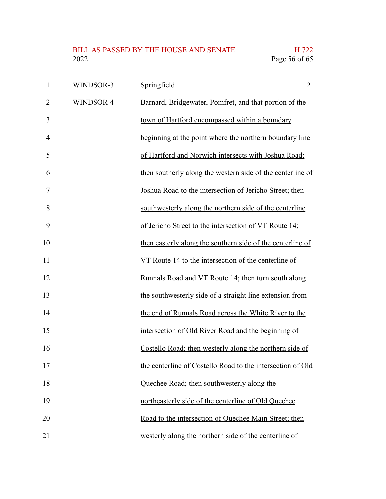| $\mathbf{1}$   | WINDSOR-3 | Springfield                                                | $\overline{2}$ |
|----------------|-----------|------------------------------------------------------------|----------------|
| $\overline{2}$ | WINDSOR-4 | Barnard, Bridgewater, Pomfret, and that portion of the     |                |
| 3              |           | town of Hartford encompassed within a boundary             |                |
| $\overline{4}$ |           | beginning at the point where the northern boundary line    |                |
| 5              |           | of Hartford and Norwich intersects with Joshua Road;       |                |
| 6              |           | then southerly along the western side of the centerline of |                |
| 7              |           | Joshua Road to the intersection of Jericho Street; then    |                |
| 8              |           | southwesterly along the northern side of the centerline    |                |
| 9              |           | of Jericho Street to the intersection of VT Route 14;      |                |
| 10             |           | then easterly along the southern side of the centerline of |                |
| 11             |           | VT Route 14 to the intersection of the centerline of       |                |
| 12             |           | Runnals Road and VT Route 14; then turn south along        |                |
| 13             |           | the southwesterly side of a straight line extension from   |                |
| 14             |           | the end of Runnals Road across the White River to the      |                |
| 15             |           | intersection of Old River Road and the beginning of        |                |
| 16             |           | Costello Road; then westerly along the northern side of    |                |
| 17             |           | the centerline of Costello Road to the intersection of Old |                |
| 18             |           | Quechee Road; then southwesterly along the                 |                |
| 19             |           | northeasterly side of the centerline of Old Quechee        |                |
| 20             |           | Road to the intersection of Quechee Main Street; then      |                |
| 21             |           | westerly along the northern side of the centerline of      |                |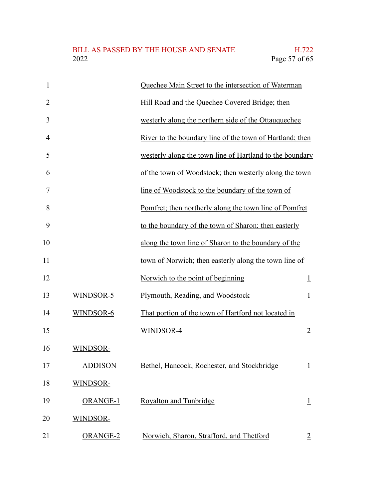| $\mathbf{1}$   |                 | Quechee Main Street to the intersection of Waterman      |                |
|----------------|-----------------|----------------------------------------------------------|----------------|
| $\overline{2}$ |                 | Hill Road and the Quechee Covered Bridge; then           |                |
| 3              |                 | westerly along the northern side of the Ottauquechee     |                |
| $\overline{4}$ |                 | River to the boundary line of the town of Hartland; then |                |
| 5              |                 | westerly along the town line of Hartland to the boundary |                |
| 6              |                 | of the town of Woodstock; then westerly along the town   |                |
| 7              |                 | line of Woodstock to the boundary of the town of         |                |
| 8              |                 | Pomfret; then northerly along the town line of Pomfret   |                |
| 9              |                 | to the boundary of the town of Sharon; then easterly     |                |
| 10             |                 | along the town line of Sharon to the boundary of the     |                |
| 11             |                 | town of Norwich; then easterly along the town line of    |                |
| 12             |                 | Norwich to the point of beginning                        | $\perp$        |
| 13             | WINDSOR-5       | Plymouth, Reading, and Woodstock                         | $\perp$        |
| 14             | WINDSOR-6       | That portion of the town of Hartford not located in      |                |
| 15             |                 | WINDSOR-4                                                | $\overline{2}$ |
| 16             | WINDSOR-        |                                                          |                |
| 17             | <b>ADDISON</b>  | Bethel, Hancock, Rochester, and Stockbridge              | $\overline{1}$ |
| 18             | WINDSOR-        |                                                          |                |
| 19             | <b>ORANGE-1</b> | Royalton and Tunbridge                                   | $\overline{1}$ |
| 20             | WINDSOR-        |                                                          |                |
| 21             | ORANGE-2        | Norwich, Sharon, Strafford, and Thetford                 | $\overline{2}$ |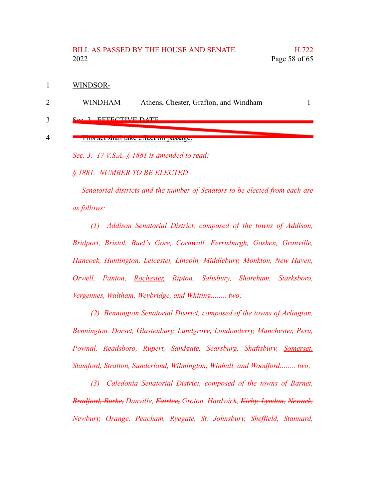#### BILL AS PASSED BY THE HOUSE AND SENATE H.722 2022 Page 58 of 65

WINDSOR-1

WINDHAM Athens, Chester, Grafton, and Windham 1 2

EFFECTIVE DATE 3

#### This act shall take effect on passage. 4

*Sec. 3. 17 V.S.A. § 1881 is amended to read:*

*§ 1881. NUMBER TO BE ELECTED*

*Senatorial districts and the number of Senators to be elected from each are as follows:*

*(1) Addison Senatorial District, composed of the towns of Addison, Bridport, Bristol, Buel's Gore, Cornwall, Ferrisburgh, Goshen, Granville, Hancock, Huntington, Leicester, Lincoln, Middlebury, Monkton, New Haven, Orwell, Panton, Rochester, Ripton, Salisbury, Shoreham, Starksboro, Vergennes, Waltham, Weybridge, and Whiting........ two;*

*(2) Bennington Senatorial District, composed of the towns of Arlington, Bennington, Dorset, Glastenbury, Landgrove, Londonderry, Manchester, Peru, Pownal, Readsboro, Rupert, Sandgate, Searsburg, Shaftsbury, Somerset, Stamford, Stratton, Sunderland, Wilmington, Winhall, and Woodford........ two;*

*(3) Caledonia Senatorial District, composed of the towns of Barnet, Bradford, Burke, Danville, Fairlee, Groton, Hardwick, Kirby, Lyndon, Newark, Newbury, Orange, Peacham, Ryegate, St. Johnsbury, Sheffield, Stannard,*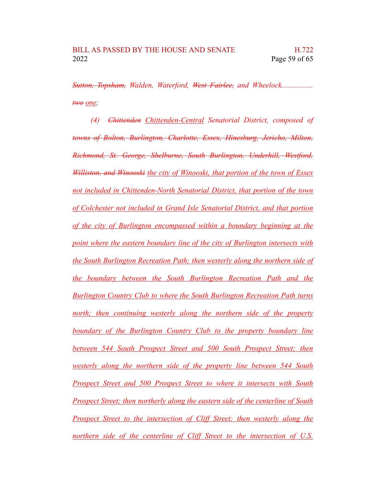*Sutton, Topsham, Walden, Waterford, West Fairlee, and Wheelock................ two one;*

*(4) Chittenden Chittenden-Central Senatorial District, composed of towns of Bolton, Burlington, Charlotte, Essex, Hinesburg, Jericho, Milton, Richmond, St. George, Shelburne, South Burlington, Underhill, Westford, Williston, and Winooski the city of Winooski, that portion of the town of Essex not included in Chittenden-North Senatorial District, that portion of the town of Colchester not included in Grand Isle Senatorial District, and that portion of the city of Burlington encompassed within a boundary beginning at the point where the eastern boundary line of the city of Burlington intersects with the South Burlington Recreation Path; then westerly along the northern side of the boundary between the South Burlington Recreation Path and the Burlington Country Club to where the South Burlington Recreation Path turns north; then continuing westerly along the northern side of the property boundary of the Burlington Country Club to the property boundary line between 544 South Prospect Street and 500 South Prospect Street; then westerly along the northern side of the property line between 544 South Prospect Street and 500 Prospect Street to where it intersects with South Prospect Street; then northerly along the eastern side of the centerline of South Prospect Street to the intersection of Cliff Street; then westerly along the northern side of the centerline of Cliff Street to the intersection of U.S.*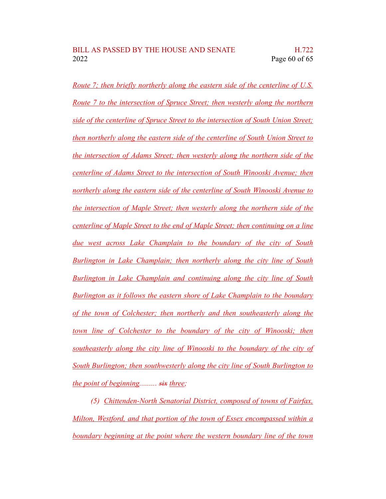*Route 7; then briefly northerly along the eastern side of the centerline of U.S. Route 7 to the intersection of Spruce Street; then westerly along the northern side of the centerline of Spruce Street to the intersection of South Union Street; then northerly along the eastern side of the centerline of South Union Street to the intersection of Adams Street; then westerly along the northern side of the centerline of Adams Street to the intersection of South Winooski Avenue; then northerly along the eastern side of the centerline of South Winooski Avenue to the intersection of Maple Street; then westerly along the northern side of the centerline of Maple Street to the end of Maple Street; then continuing on a line due west across Lake Champlain to the boundary of the city of South Burlington in Lake Champlain; then northerly along the city line of South Burlington in Lake Champlain and continuing along the city line of South Burlington as it follows the eastern shore of Lake Champlain to the boundary of the town of Colchester; then northerly and then southeasterly along the town line of Colchester to the boundary of the city of Winooski; then southeasterly along the city line of Winooski to the boundary of the city of South Burlington; then southwesterly along the city line of South Burlington to the point of beginning......... six three;*

*(5) Chittenden-North Senatorial District, composed of towns of Fairfax, Milton, Westford, and that portion of the town of Essex encompassed within a boundary beginning at the point where the western boundary line of the town*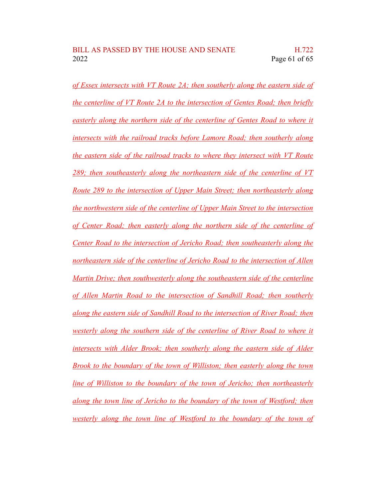*of Essex intersects with VT Route 2A; then southerly along the eastern side of the centerline of VT Route 2A to the intersection of Gentes Road; then briefly easterly along the northern side of the centerline of Gentes Road to where it intersects with the railroad tracks before Lamore Road; then southerly along the eastern side of the railroad tracks to where they intersect with VT Route 289; then southeasterly along the northeastern side of the centerline of VT Route 289 to the intersection of Upper Main Street; then northeasterly along the northwestern side of the centerline of Upper Main Street to the intersection of Center Road; then easterly along the northern side of the centerline of Center Road to the intersection of Jericho Road; then southeasterly along the northeastern side of the centerline of Jericho Road to the intersection of Allen Martin Drive; then southwesterly along the southeastern side of the centerline of Allen Martin Road to the intersection of Sandhill Road; then southerly along the eastern side of Sandhill Road to the intersection of River Road; then westerly along the southern side of the centerline of River Road to where it intersects with Alder Brook; then southerly along the eastern side of Alder Brook to the boundary of the town of Williston; then easterly along the town line of Williston to the boundary of the town of Jericho; then northeasterly along the town line of Jericho to the boundary of the town of Westford; then westerly along the town line of Westford to the boundary of the town of*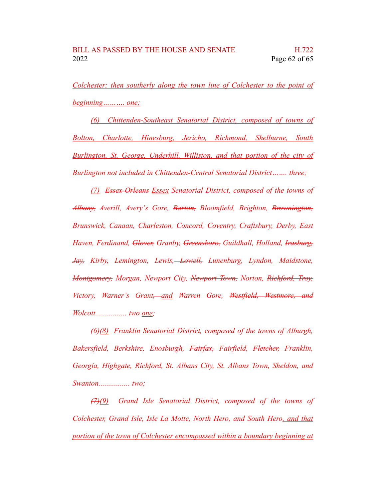*Colchester; then southerly along the town line of Colchester to the point of beginning………. one;*

*(6) Chittenden-Southeast Senatorial District, composed of towns of Bolton, Charlotte, Hinesburg, Jericho, Richmond, Shelburne, South Burlington, St. George, Underhill, Williston, and that portion of the city of Burlington not included in Chittenden-Central Senatorial District……. three;*

*(7) Essex-Orleans Essex Senatorial District, composed of the towns of Albany, Averill, Avery's Gore, Barton, Bloomfield, Brighton, Brownington, Brunswick, Canaan, Charleston, Concord, Coventry, Craftsbury, Derby, East Haven, Ferdinand, Glover, Granby, Greensboro, Guildhall, Holland, Irasburg, Jay, Kirby, Lemington, Lewis, Lowell, Lunenburg, Lyndon, Maidstone, Montgomery, Morgan, Newport City, Newport Town, Norton, Richford, Troy, Victory, Warner's Grant, and Warren Gore, Westfield, Westmore, and Wolcott................ two one;*

*(6)(8) Franklin Senatorial District, composed of the towns of Alburgh, Bakersfield, Berkshire, Enosburgh, Fairfax, Fairfield, Fletcher, Franklin, Georgia, Highgate, Richford, St. Albans City, St. Albans Town, Sheldon, and Swanton................ two;*

*(7)(9) Grand Isle Senatorial District, composed of the towns of Colchester, Grand Isle, Isle La Motte, North Hero, and South Hero, and that portion of the town of Colchester encompassed within a boundary beginning at*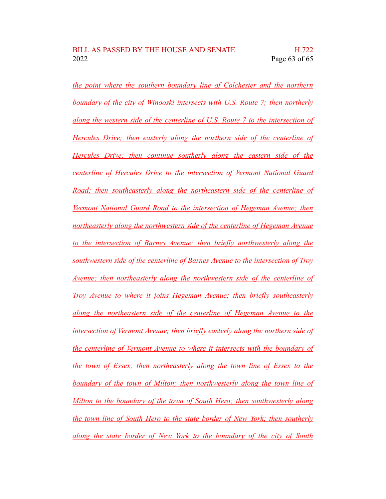*the point where the southern boundary line of Colchester and the northern boundary of the city of Winooski intersects with U.S. Route 7; then northerly along the western side of the centerline of U.S. Route 7 to the intersection of Hercules Drive; then easterly along the northern side of the centerline of Hercules Drive; then continue southerly along the eastern side of the centerline of Hercules Drive to the intersection of Vermont National Guard Road; then southeasterly along the northeastern side of the centerline of Vermont National Guard Road to the intersection of Hegeman Avenue; then northeasterly along the northwestern side of the centerline of Hegeman Avenue to the intersection of Barnes Avenue; then briefly northwesterly along the southwestern side of the centerline of Barnes Avenue to the intersection of Troy Avenue; then northeasterly along the northwestern side of the centerline of Troy Avenue to where it joins Hegeman Avenue; then briefly southeasterly along the northeastern side of the centerline of Hegeman Avenue to the intersection of Vermont Avenue; then briefly easterly along the northern side of the centerline of Vermont Avenue to where it intersects with the boundary of the town of Essex; then northeasterly along the town line of Essex to the boundary of the town of Milton; then northwesterly along the town line of Milton to the boundary of the town of South Hero; then southwesterly along the town line of South Hero to the state border of New York; then southerly along the state border of New York to the boundary of the city of South*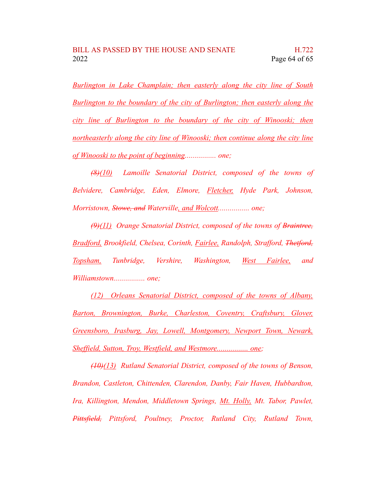*Burlington in Lake Champlain; then easterly along the city line of South Burlington to the boundary of the city of Burlington; then easterly along the city line of Burlington to the boundary of the city of Winooski; then northeasterly along the city line of Winooski; then continue along the city line of Winooski to the point of beginning................ one;*

*(8)(10) Lamoille Senatorial District, composed of the towns of Belvidere, Cambridge, Eden, Elmore, Fletcher, Hyde Park, Johnson, Morristown, Stowe, and Waterville, and Wolcott................ one;*

*(9)(11) Orange Senatorial District, composed of the towns of Braintree, Bradford, Brookfield, Chelsea, Corinth, Fairlee, Randolph, Strafford, Thetford, Topsham, Tunbridge, Vershire, Washington, West Fairlee, and Williamstown................ one;*

*(12) Orleans Senatorial District, composed of the towns of Albany, Barton, Brownington, Burke, Charleston, Coventry, Craftsbury, Glover, Greensboro, Irasburg, Jay, Lowell, Montgomery, Newport Town, Newark, Sheffield, Sutton, Troy, Westfield, and Westmore................ one;*

*(10)(13) Rutland Senatorial District, composed of the towns of Benson, Brandon, Castleton, Chittenden, Clarendon, Danby, Fair Haven, Hubbardton, Ira, Killington, Mendon, Middletown Springs, Mt. Holly, Mt. Tabor, Pawlet, Pittsfield, Pittsford, Poultney, Proctor, Rutland City, Rutland Town,*